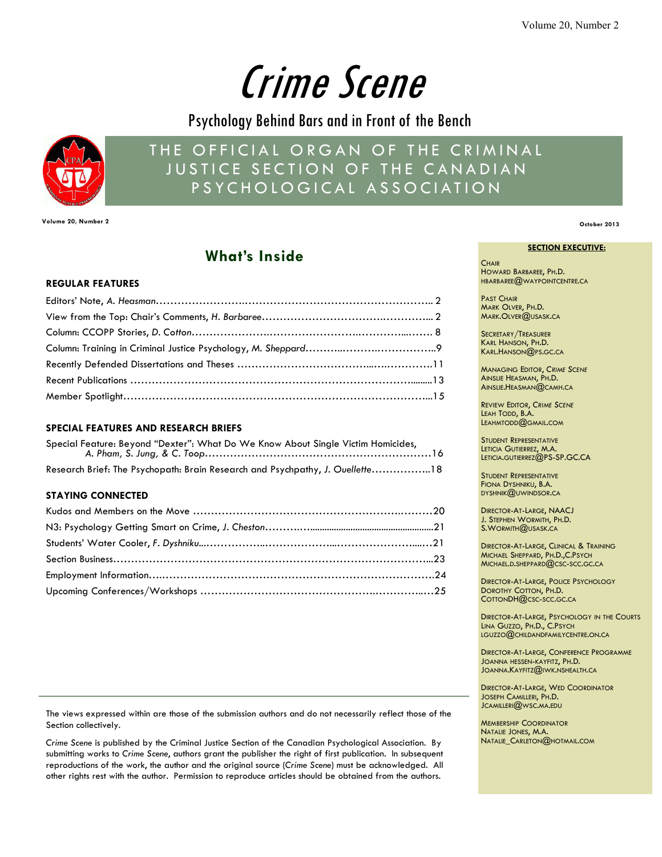## Crime Scene

Psychology Behind Bars and in Front of the Bench



## THE OFFICIAL ORGAN OF THE CRIMINAL JUSTICE SECTION OF THE CANADIAN P S Y CHOLOGICAL ASSOCIATION

**October 2013 Volume 20, Number 2** 

## **What's Inside** <br>**SECTION EXECUTIVE:**

#### **REGULAR FEATURES**

#### **SPECIAL FEATURES AND RESEARCH BRIEFS**

| Special Feature: Beyond "Dexter": What Do We Know About Single Victim Homicides, |
|----------------------------------------------------------------------------------|
|                                                                                  |
| Research Brief: The Psychopath: Brain Research and Psychpathy, J. Ouellette18    |

#### **STAYING CONNECTED**

The views expressed within are those of the submission authors and do not necessarily reflect those of the Section collectively.

*Crime Scene* is published by the Criminal Justice Section of the Canadian Psychological Association. By submitting works to *Crime Scene*, authors grant the publisher the right of first publication. In subsequent reproductions of the work, the author and the original source (*Crime Scene*) must be acknowledged. All other rights rest with the author. Permission to reproduce articles should be obtained from the authors.

**CHAIR** HOWARD BARBAREE, PH.D. HBARBAREE@WAYPOINTCENTRE.CA

PAST CHAIR MARK OLVER, PH.D. MARK.OLVER@USASK.CA

SECRETARY/TREASURER KARL HANSON, PH.D. KARL.HANSON@PS.GC.CA

MANAGING EDITOR, *CRIME SCENE* AINSLIE HEASMAN, PH.D. AINSLIE.HEASMAN@CAMH.CA

REVIEW EDITOR, *CRIME SCENE* LEAH TODD, B.A. LEAHMTODD@GMAIL.COM

STUDENT REPRESENTATIVE LETICIA GUTIERREZ, M.A. LETICIA.GUTIERREZ@PS-SP.GC.CA

STUDENT REPRESENTATIVE FIONA DYSHNIKU, B.A. DYSHNIK@UWINDSOR.CA

DIRECTOR-AT-LARGE, NAACJ J. STEPHEN WORMITH, PH.D. S.WORMITH@USASK.CA

DIRECTOR-AT-LARGE, CLINICAL & TRAINING MICHAEL SHEPPARD, PH.D., C.PSYCH MICHAEL.D.SHEPPARD@CSC-SCC.GC.CA

DIRECTOR-AT-LARGE, POLICE PSYCHOLOGY DOROTHY COTTON, PH.D. COTTONDH@CSC-SCC.GC.CA

DIRECTOR-AT-LARGE, PSYCHOLOGY IN THE COURTS LINA GUZZO, PH.D., C.PSYCH LGUZZO@CHILDANDFAMILYCENTRE.ON.CA

DIRECTOR-AT-LARGE, CONFERENCE PROGRAMME JOANNA HESSEN-KAYFITZ, PH.D. JOANNA.KAYFITZ@IWK.NSHEALTH.CA

DIRECTOR-AT-LARGE, WED COORDINATOR JOSEPH CAMILLERI, PH.D. JCAMILLERI@WSC.MA.EDU

MEMBERSHIP COORDINATOR NATALIE JONES, M.A. NATALIE\_CARLETON@HOTMAIL.COM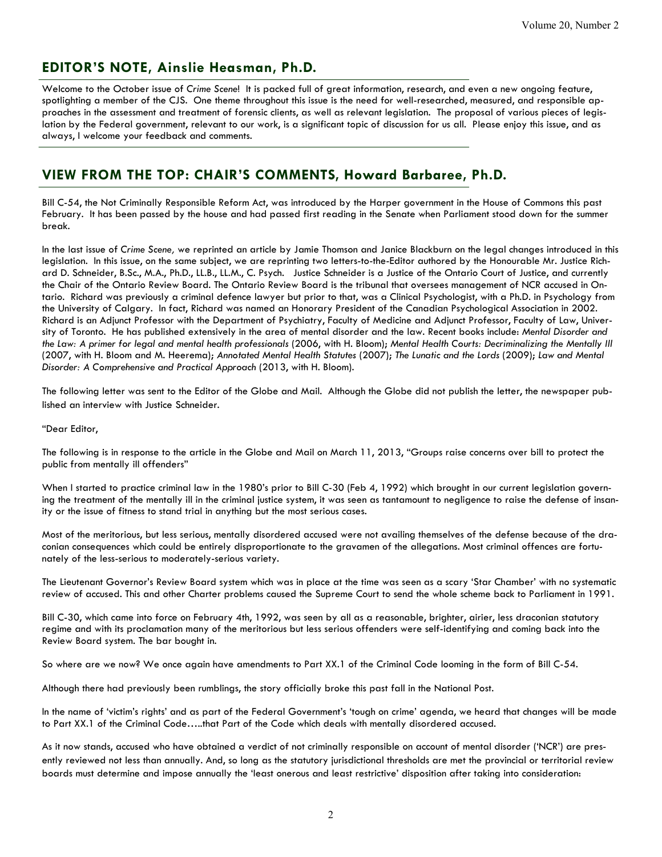## **EDITOR'S NOTE, Ainslie Heasman, Ph.D.**

Welcome to the October issue of *Crime Scene*! It is packed full of great information, research, and even a new ongoing feature, spotlighting a member of the CJS. One theme throughout this issue is the need for well-researched, measured, and responsible approaches in the assessment and treatment of forensic clients, as well as relevant legislation. The proposal of various pieces of legislation by the Federal government, relevant to our work, is a significant topic of discussion for us all. Please enjoy this issue, and as always, I welcome your feedback and comments.

## **VIEW FROM THE TOP: CHAIR'S COMMENTS, Howard Barbaree, Ph.D.**

Bill C-54, the Not Criminally Responsible Reform Act, was introduced by the Harper government in the House of Commons this past February. It has been passed by the house and had passed first reading in the Senate when Parliament stood down for the summer break.

In the last issue of *Crime Scene,* we reprinted an article by Jamie Thomson and Janice Blackburn on the legal changes introduced in this legislation. In this issue, on the same subject, we are reprinting two letters-to-the-Editor authored by the Honourable Mr. Justice Richard D. Schneider, B.Sc., M.A., Ph.D., LL.B., LL.M., C. Psych. Justice Schneider is a Justice of the Ontario Court of Justice, and currently the Chair of the Ontario Review Board. The Ontario Review Board is the tribunal that oversees management of NCR accused in Ontario. Richard was previously a criminal defence lawyer but prior to that, was a Clinical Psychologist, with a Ph.D. in Psychology from the University of Calgary. In fact, Richard was named an Honorary President of the Canadian Psychological Association in 2002. Richard is an Adjunct Professor with the Department of Psychiatry, Faculty of Medicine and Adjunct Professor, Faculty of Law, University of Toronto. He has published extensively in the area of mental disorder and the law. Recent books include: *Mental Disorder and the Law: A primer for legal and mental health professionals* (2006, with H. Bloom); *Mental Health Courts: Decriminalizing the Mentally Ill* (2007, with H. Bloom and M. Heerema); *Annotated Mental Health Statutes* (2007); *The Lunatic and the Lords* (2009); *Law and Mental Disorder: A Comprehensive and Practical Approach* (2013, with H. Bloom).

The following letter was sent to the Editor of the Globe and Mail. Although the Globe did not publish the letter, the newspaper published an interview with Justice Schneider.

"Dear Editor,

The following is in response to the article in the Globe and Mail on March 11, 2013, "Groups raise concerns over bill to protect the public from mentally ill offenders"

When I started to practice criminal law in the 1980's prior to Bill C-30 (Feb 4, 1992) which brought in our current legislation governing the treatment of the mentally ill in the criminal justice system, it was seen as tantamount to negligence to raise the defense of insanity or the issue of fitness to stand trial in anything but the most serious cases.

Most of the meritorious, but less serious, mentally disordered accused were not availing themselves of the defense because of the draconian consequences which could be entirely disproportionate to the gravamen of the allegations. Most criminal offences are fortunately of the less-serious to moderately-serious variety.

The Lieutenant Governor's Review Board system which was in place at the time was seen as a scary 'Star Chamber' with no systematic review of accused. This and other Charter problems caused the Supreme Court to send the whole scheme back to Parliament in 1991.

Bill C-30, which came into force on February 4th, 1992, was seen by all as a reasonable, brighter, airier, less draconian statutory regime and with its proclamation many of the meritorious but less serious offenders were self-identifying and coming back into the Review Board system. The bar bought in.

So where are we now? We once again have amendments to Part XX.1 of the Criminal Code looming in the form of Bill C-54.

Although there had previously been rumblings, the story officially broke this past fall in the National Post.

In the name of 'victim's rights' and as part of the Federal Government's 'tough on crime' agenda, we heard that changes will be made to Part XX.1 of the Criminal Code…..that Part of the Code which deals with mentally disordered accused.

As it now stands, accused who have obtained a verdict of not criminally responsible on account of mental disorder ('NCR') are presently reviewed not less than annually. And, so long as the statutory jurisdictional thresholds are met the provincial or territorial review boards must determine and impose annually the 'least onerous and least restrictive' disposition after taking into consideration: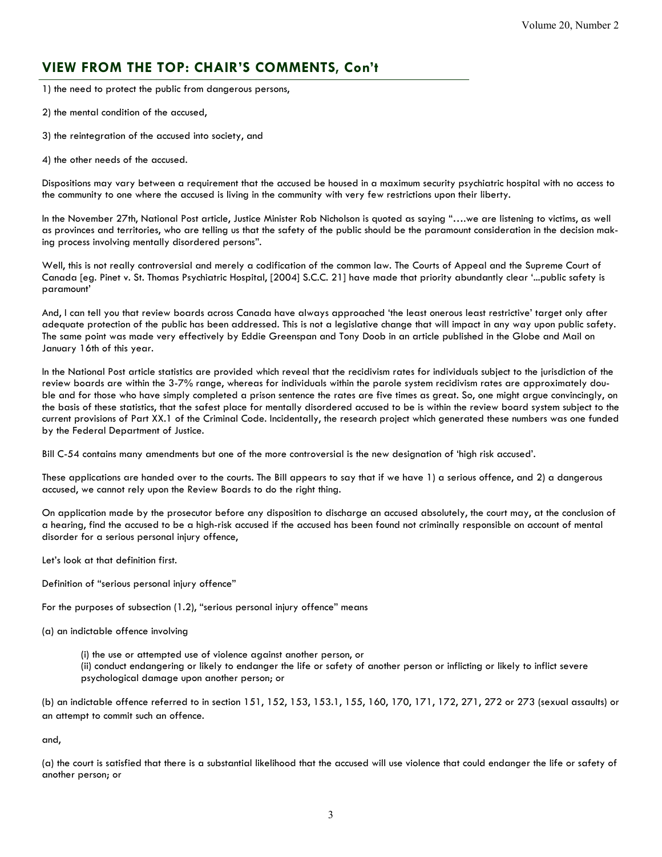1) the need to protect the public from dangerous persons,

2) the mental condition of the accused,

3) the reintegration of the accused into society, and

4) the other needs of the accused.

Dispositions may vary between a requirement that the accused be housed in a maximum security psychiatric hospital with no access to the community to one where the accused is living in the community with very few restrictions upon their liberty.

In the November 27th, National Post article, Justice Minister Rob Nicholson is quoted as saying "….we are listening to victims, as well as provinces and territories, who are telling us that the safety of the public should be the paramount consideration in the decision making process involving mentally disordered persons".

Well, this is not really controversial and merely a codification of the common law. The Courts of Appeal and the Supreme Court of Canada [eg. Pinet v. St. Thomas Psychiatric Hospital, [2004] S.C.C. 21] have made that priority abundantly clear '...public safety is paramount'

And, I can tell you that review boards across Canada have always approached 'the least onerous least restrictive' target only after adequate protection of the public has been addressed. This is not a legislative change that will impact in any way upon public safety. The same point was made very effectively by Eddie Greenspan and Tony Doob in an article published in the Globe and Mail on January 16th of this year.

In the National Post article statistics are provided which reveal that the recidivism rates for individuals subject to the jurisdiction of the review boards are within the 3-7% range, whereas for individuals within the parole system recidivism rates are approximately double and for those who have simply completed a prison sentence the rates are five times as great. So, one might argue convincingly, on the basis of these statistics, that the safest place for mentally disordered accused to be is within the review board system subject to the current provisions of Part XX.1 of the Criminal Code. Incidentally, the research project which generated these numbers was one funded by the Federal Department of Justice.

Bill C-54 contains many amendments but one of the more controversial is the new designation of 'high risk accused'.

These applications are handed over to the courts. The Bill appears to say that if we have 1) a serious offence, and 2) a dangerous accused, we cannot rely upon the Review Boards to do the right thing.

On application made by the prosecutor before any disposition to discharge an accused absolutely, the court may, at the conclusion of a hearing, find the accused to be a high-risk accused if the accused has been found not criminally responsible on account of mental disorder for a serious personal injury offence,

Let's look at that definition first.

Definition of "serious personal injury offence"

For the purposes of subsection (1.2), "serious personal injury offence" means

(a) an indictable offence involving

(i) the use or attempted use of violence against another person, or

 (ii) conduct endangering or likely to endanger the life or safety of another person or inflicting or likely to inflict severe psychological damage upon another person; or

(b) an indictable offence referred to in section 151, 152, 153, 153.1, 155, 160, 170, 171, 172, 271, 272 or 273 (sexual assaults) or an attempt to commit such an offence.

and,

(a) the court is satisfied that there is a substantial likelihood that the accused will use violence that could endanger the life or safety of another person; or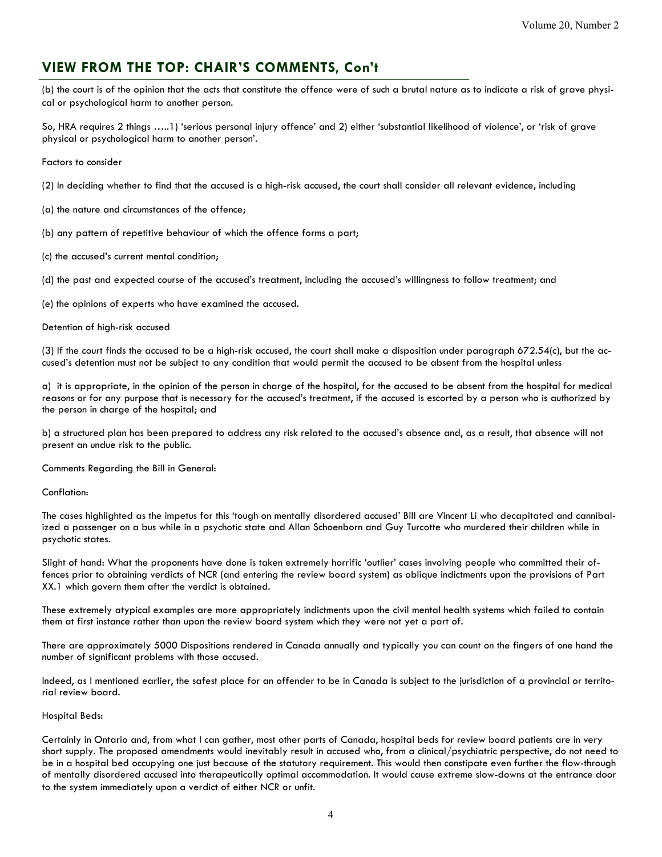(b) the court is of the opinion that the acts that constitute the offence were of such a brutal nature as to indicate a risk of grave physical or psychological harm to another person.

So, HRA requires 2 things …..1) 'serious personal injury offence' and 2) either 'substantial likelihood of violence', or 'risk of grave physical or psychological harm to another person'.

Factors to consider

(2) In deciding whether to find that the accused is a high-risk accused, the court shall consider all relevant evidence, including

(a) the nature and circumstances of the offence;

(b) any pattern of repetitive behaviour of which the offence forms a part;

(c) the accused's current mental condition;

(d) the past and expected course of the accused's treatment, including the accused's willingness to follow treatment; and

(e) the opinions of experts who have examined the accused.

Detention of high-risk accused

(3) If the court finds the accused to be a high-risk accused, the court shall make a disposition under paragraph 672.54(c), but the accused's detention must not be subject to any condition that would permit the accused to be absent from the hospital unless

a) it is appropriate, in the opinion of the person in charge of the hospital, for the accused to be absent from the hospital for medical reasons or for any purpose that is necessary for the accused's treatment, if the accused is escorted by a person who is authorized by the person in charge of the hospital; and

b) a structured plan has been prepared to address any risk related to the accused's absence and, as a result, that absence will not present an undue risk to the public.

Comments Regarding the Bill in General:

Conflation:

The cases highlighted as the impetus for this 'tough on mentally disordered accused' Bill are Vincent Li who decapitated and cannibalized a passenger on a bus while in a psychotic state and Allan Schoenborn and Guy Turcotte who murdered their children while in psychotic states.

Slight of hand: What the proponents have done is taken extremely horrific 'outlier' cases involving people who committed their offences prior to obtaining verdicts of NCR (and entering the review board system) as oblique indictments upon the provisions of Part XX.1 which govern them after the verdict is obtained.

These extremely atypical examples are more appropriately indictments upon the civil mental health systems which failed to contain them at first instance rather than upon the review board system which they were not yet a part of.

There are approximately 5000 Dispositions rendered in Canada annually and typically you can count on the fingers of one hand the number of significant problems with those accused.

Indeed, as I mentioned earlier, the safest place for an offender to be in Canada is subject to the jurisdiction of a provincial or territorial review board.

#### Hospital Beds:

Certainly in Ontario and, from what I can gather, most other parts of Canada, hospital beds for review board patients are in very short supply. The proposed amendments would inevitably result in accused who, from a clinical/psychiatric perspective, do not need to be in a hospital bed occupying one just because of the statutory requirement. This would then constipate even further the flow-through of mentally disordered accused into therapeutically optimal accommodation. It would cause extreme slow-downs at the entrance door to the system immediately upon a verdict of either NCR or unfit.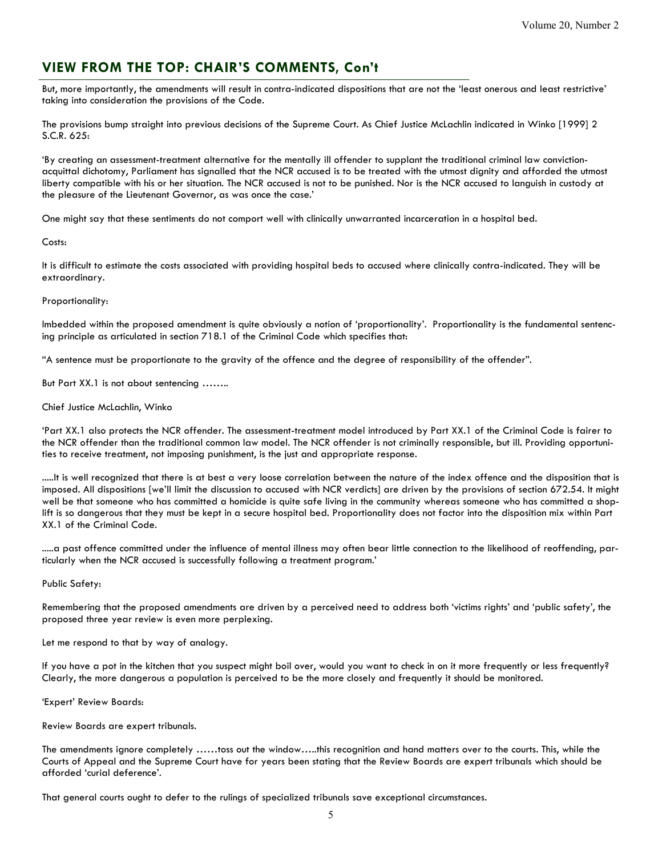But, more importantly, the amendments will result in contra-indicated dispositions that are not the 'least onerous and least restrictive' taking into consideration the provisions of the Code.

The provisions bump straight into previous decisions of the Supreme Court. As Chief Justice McLachlin indicated in Winko [1999] 2 S.C.R. 625:

'By creating an assessment-treatment alternative for the mentally ill offender to supplant the traditional criminal law convictionacquittal dichotomy, Parliament has signalled that the NCR accused is to be treated with the utmost dignity and afforded the utmost liberty compatible with his or her situation. The NCR accused is not to be punished. Nor is the NCR accused to languish in custody at the pleasure of the Lieutenant Governor, as was once the case.'

One might say that these sentiments do not comport well with clinically unwarranted incarceration in a hospital bed.

#### Costs:

It is difficult to estimate the costs associated with providing hospital beds to accused where clinically contra-indicated. They will be extraordinary.

#### Proportionality:

Imbedded within the proposed amendment is quite obviously a notion of 'proportionality'. Proportionality is the fundamental sentencing principle as articulated in section 718.1 of the Criminal Code which specifies that:

"A sentence must be proportionate to the gravity of the offence and the degree of responsibility of the offender".

But Part XX.1 is not about sentencing ……..

#### Chief Justice McLachlin, Winko

'Part XX.1 also protects the NCR offender. The assessment-treatment model introduced by Part XX.1 of the Criminal Code is fairer to the NCR offender than the traditional common law model. The NCR offender is not criminally responsible, but ill. Providing opportunities to receive treatment, not imposing punishment, is the just and appropriate response.

.....It is well recognized that there is at best a very loose correlation between the nature of the index offence and the disposition that is imposed. All dispositions [we'll limit the discussion to accused with NCR verdicts] are driven by the provisions of section 672.54. It might well be that someone who has committed a homicide is quite safe living in the community whereas someone who has committed a shoplift is so dangerous that they must be kept in a secure hospital bed. Proportionality does not factor into the disposition mix within Part XX.1 of the Criminal Code.

.....a past offence committed under the influence of mental illness may often bear little connection to the likelihood of reoffending, particularly when the NCR accused is successfully following a treatment program.'

Public Safety:

Remembering that the proposed amendments are driven by a perceived need to address both 'victims rights' and 'public safety', the proposed three year review is even more perplexing.

Let me respond to that by way of analogy.

If you have a pot in the kitchen that you suspect might boil over, would you want to check in on it more frequently or less frequently? Clearly, the more dangerous a population is perceived to be the more closely and frequently it should be monitored.

'Expert' Review Boards:

Review Boards are expert tribunals.

The amendments ignore completely ……toss out the window…..this recognition and hand matters over to the courts. This, while the Courts of Appeal and the Supreme Court have for years been stating that the Review Boards are expert tribunals which should be afforded 'curial deference'.

That general courts ought to defer to the rulings of specialized tribunals save exceptional circumstances.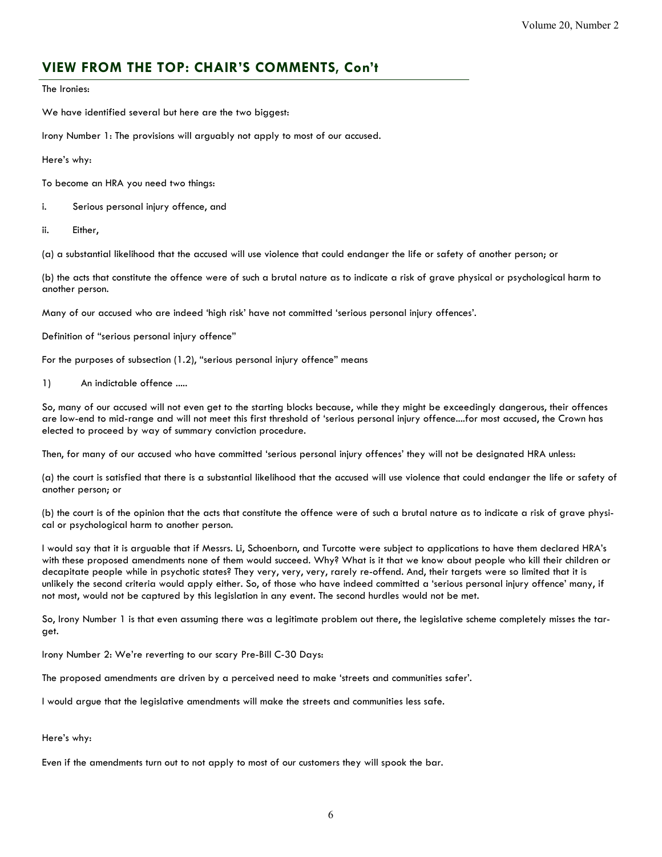#### The Ironies:

We have identified several but here are the two biggest:

Irony Number 1: The provisions will arguably not apply to most of our accused.

Here's why:

To become an HRA you need two things:

i. Serious personal injury offence, and

ii. Either,

(a) a substantial likelihood that the accused will use violence that could endanger the life or safety of another person; or

(b) the acts that constitute the offence were of such a brutal nature as to indicate a risk of grave physical or psychological harm to another person.

Many of our accused who are indeed 'high risk' have not committed 'serious personal injury offences'.

Definition of "serious personal injury offence"

For the purposes of subsection (1.2), "serious personal injury offence" means

#### 1) An indictable offence .....

So, many of our accused will not even get to the starting blocks because, while they might be exceedingly dangerous, their offences are low-end to mid-range and will not meet this first threshold of 'serious personal injury offence....for most accused, the Crown has elected to proceed by way of summary conviction procedure.

Then, for many of our accused who have committed 'serious personal injury offences' they will not be designated HRA unless:

(a) the court is satisfied that there is a substantial likelihood that the accused will use violence that could endanger the life or safety of another person; or

(b) the court is of the opinion that the acts that constitute the offence were of such a brutal nature as to indicate a risk of grave physical or psychological harm to another person.

I would say that it is arguable that if Messrs. Li, Schoenborn, and Turcotte were subject to applications to have them declared HRA's with these proposed amendments none of them would succeed. Why? What is it that we know about people who kill their children or decapitate people while in psychotic states? They very, very, very, rarely re-offend. And, their targets were so limited that it is unlikely the second criteria would apply either. So, of those who have indeed committed a 'serious personal injury offence' many, if not most, would not be captured by this legislation in any event. The second hurdles would not be met.

So, Irony Number 1 is that even assuming there was a legitimate problem out there, the legislative scheme completely misses the target.

Irony Number 2: We're reverting to our scary Pre-Bill C-30 Days:

The proposed amendments are driven by a perceived need to make 'streets and communities safer'.

I would argue that the legislative amendments will make the streets and communities less safe.

#### Here's why:

Even if the amendments turn out to not apply to most of our customers they will spook the bar.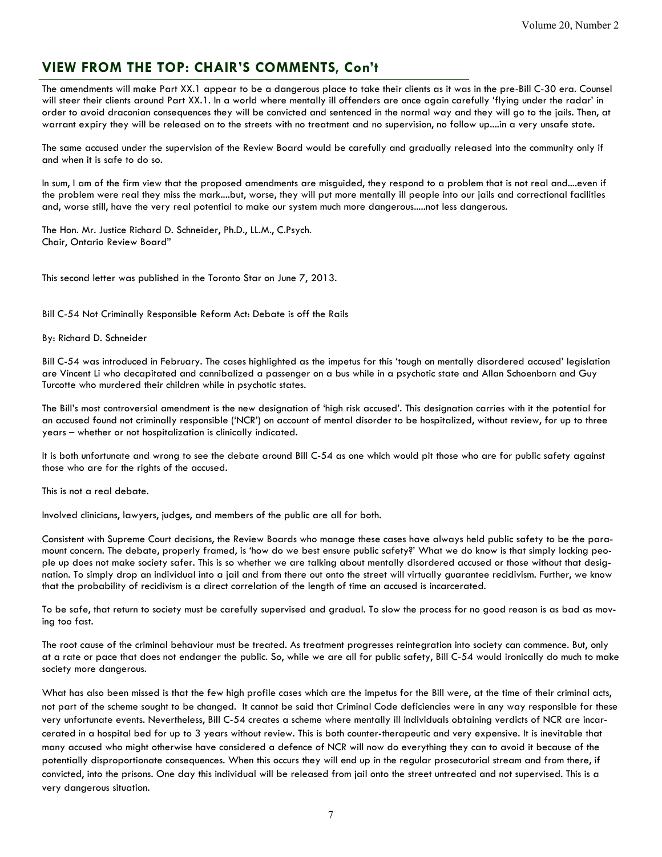The amendments will make Part XX.1 appear to be a dangerous place to take their clients as it was in the pre-Bill C-30 era. Counsel will steer their clients around Part XX.1. In a world where mentally ill offenders are once again carefully 'flying under the radar' in order to avoid draconian consequences they will be convicted and sentenced in the normal way and they will go to the jails. Then, at warrant expiry they will be released on to the streets with no treatment and no supervision, no follow up....in a very unsafe state.

The same accused under the supervision of the Review Board would be carefully and gradually released into the community only if and when it is safe to do so.

In sum, I am of the firm view that the proposed amendments are misguided, they respond to a problem that is not real and....even if the problem were real they miss the mark....but, worse, they will put more mentally ill people into our jails and correctional facilities and, worse still, have the very real potential to make our system much more dangerous.....not less dangerous.

The Hon. Mr. Justice Richard D. Schneider, Ph.D., LL.M., C.Psych. Chair, Ontario Review Board"

This second letter was published in the Toronto Star on June 7, 2013.

Bill C-54 Not Criminally Responsible Reform Act: Debate is off the Rails

#### By: Richard D. Schneider

Bill C-54 was introduced in February. The cases highlighted as the impetus for this 'tough on mentally disordered accused' legislation are Vincent Li who decapitated and cannibalized a passenger on a bus while in a psychotic state and Allan Schoenborn and Guy Turcotte who murdered their children while in psychotic states.

The Bill's most controversial amendment is the new designation of 'high risk accused'. This designation carries with it the potential for an accused found not criminally responsible ('NCR') on account of mental disorder to be hospitalized, without review, for up to three years – whether or not hospitalization is clinically indicated.

It is both unfortunate and wrong to see the debate around Bill C-54 as one which would pit those who are for public safety against those who are for the rights of the accused.

This is not a real debate.

Involved clinicians, lawyers, judges, and members of the public are all for both.

Consistent with Supreme Court decisions, the Review Boards who manage these cases have always held public safety to be the paramount concern. The debate, properly framed, is 'how do we best ensure public safety?' What we do know is that simply locking people up does not make society safer. This is so whether we are talking about mentally disordered accused or those without that designation. To simply drop an individual into a jail and from there out onto the street will virtually guarantee recidivism. Further, we know that the probability of recidivism is a direct correlation of the length of time an accused is incarcerated.

To be safe, that return to society must be carefully supervised and gradual. To slow the process for no good reason is as bad as moving too fast.

The root cause of the criminal behaviour must be treated. As treatment progresses reintegration into society can commence. But, only at a rate or pace that does not endanger the public. So, while we are all for public safety, Bill C-54 would ironically do much to make society more dangerous.

What has also been missed is that the few high profile cases which are the impetus for the Bill were, at the time of their criminal acts, not part of the scheme sought to be changed. It cannot be said that Criminal Code deficiencies were in any way responsible for these very unfortunate events. Nevertheless, Bill C-54 creates a scheme where mentally ill individuals obtaining verdicts of NCR are incarcerated in a hospital bed for up to 3 years without review. This is both counter-therapeutic and very expensive. It is inevitable that many accused who might otherwise have considered a defence of NCR will now do everything they can to avoid it because of the potentially disproportionate consequences. When this occurs they will end up in the regular prosecutorial stream and from there, if convicted, into the prisons. One day this individual will be released from jail onto the street untreated and not supervised. This is a very dangerous situation.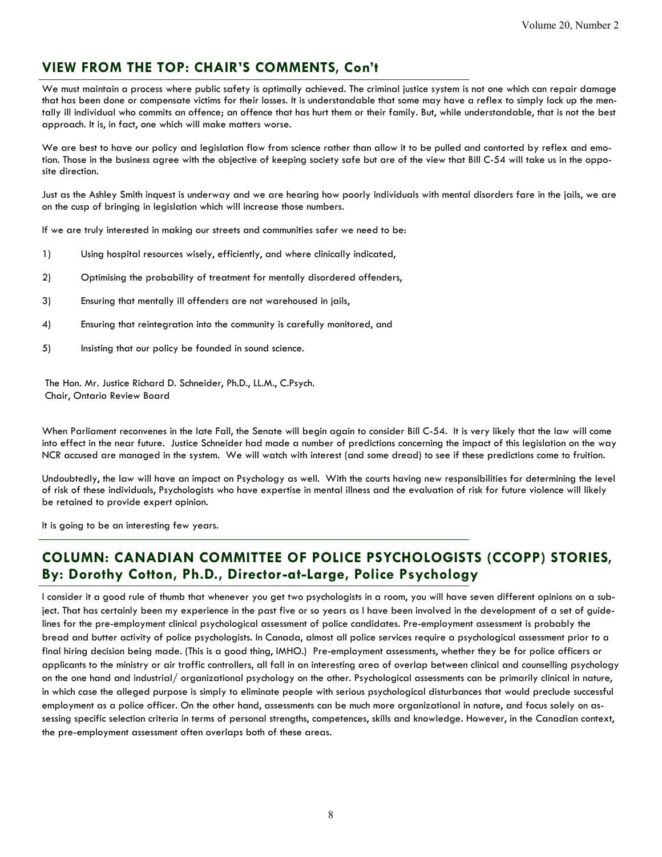We must maintain a process where public safety is optimally achieved. The criminal justice system is not one which can repair damage that has been done or compensate victims for their losses. It is understandable that some may have a reflex to simply lock up the mentally ill individual who commits an offence; an offence that has hurt them or their family. But, while understandable, that is not the best approach. It is, in fact, one which will make matters worse.

We are best to have our policy and legislation flow from science rather than allow it to be pulled and contorted by reflex and emotion. Those in the business agree with the objective of keeping society safe but are of the view that Bill C-54 will take us in the opposite direction.

Just as the Ashley Smith inquest is underway and we are hearing how poorly individuals with mental disorders fare in the jails, we are on the cusp of bringing in legislation which will increase those numbers.

If we are truly interested in making our streets and communities safer we need to be:

- 1) Using hospital resources wisely, efficiently, and where clinically indicated,
- 2) Optimising the probability of treatment for mentally disordered offenders,
- 3) Ensuring that mentally ill offenders are not warehoused in jails,
- 4) Ensuring that reintegration into the community is carefully monitored, and
- 5) Insisting that our policy be founded in sound science.

 The Hon. Mr. Justice Richard D. Schneider, Ph.D., LL.M., C.Psych. Chair, Ontario Review Board

When Parliament reconvenes in the late Fall, the Senate will begin again to consider Bill C-54. It is very likely that the law will come into effect in the near future. Justice Schneider had made a number of predictions concerning the impact of this legislation on the way NCR accused are managed in the system. We will watch with interest (and some dread) to see if these predictions come to fruition.

Undoubtedly, the law will have an impact on Psychology as well. With the courts having new responsibilities for determining the level of risk of these individuals, Psychologists who have expertise in mental illness and the evaluation of risk for future violence will likely be retained to provide expert opinion.

It is going to be an interesting few years.

## **COLUMN: CANADIAN COMMITTEE OF POLICE PSYCHOLOGISTS (CCOPP) STORIES, By: Dorothy Cotton, Ph.D., Director-at-Large, Police Psychology**

I consider it a good rule of thumb that whenever you get two psychologists in a room, you will have seven different opinions on a subject. That has certainly been my experience in the past five or so years as I have been involved in the development of a set of guidelines for the pre-employment clinical psychological assessment of police candidates. Pre-employment assessment is probably the bread and butter activity of police psychologists. In Canada, almost all police services require a psychological assessment prior to a final hiring decision being made. (This is a good thing, IMHO.) Pre-employment assessments, whether they be for police officers or applicants to the ministry or air traffic controllers, all fall in an interesting area of overlap between clinical and counselling psychology on the one hand and industrial/ organizational psychology on the other. Psychological assessments can be primarily clinical in nature, in which case the alleged purpose is simply to eliminate people with serious psychological disturbances that would preclude successful employment as a police officer. On the other hand, assessments can be much more organizational in nature, and focus solely on assessing specific selection criteria in terms of personal strengths, competences, skills and knowledge. However, in the Canadian context, the pre-employment assessment often overlaps both of these areas.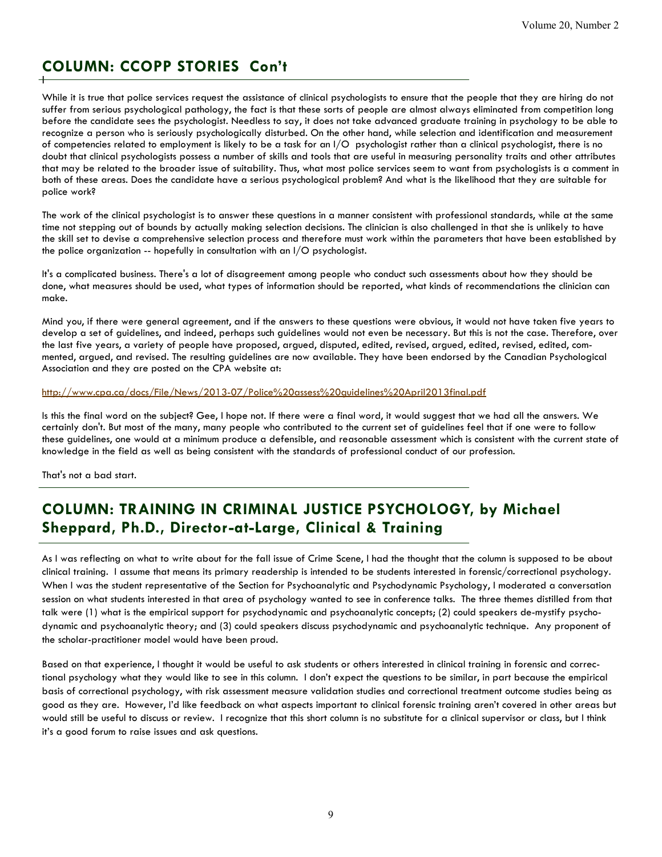## I **COLUMN: CCOPP STORIES Con't**

While it is true that police services request the assistance of clinical psychologists to ensure that the people that they are hiring do not suffer from serious psychological pathology, the fact is that these sorts of people are almost always eliminated from competition long before the candidate sees the psychologist. Needless to say, it does not take advanced graduate training in psychology to be able to recognize a person who is seriously psychologically disturbed. On the other hand, while selection and identification and measurement of competencies related to employment is likely to be a task for an I/O psychologist rather than a clinical psychologist, there is no doubt that clinical psychologists possess a number of skills and tools that are useful in measuring personality traits and other attributes that may be related to the broader issue of suitability. Thus, what most police services seem to want from psychologists is a comment in both of these areas. Does the candidate have a serious psychological problem? And what is the likelihood that they are suitable for police work?

The work of the clinical psychologist is to answer these questions in a manner consistent with professional standards, while at the same time not stepping out of bounds by actually making selection decisions. The clinician is also challenged in that she is unlikely to have the skill set to devise a comprehensive selection process and therefore must work within the parameters that have been established by the police organization -- hopefully in consultation with an I/O psychologist.

It's a complicated business. There's a lot of disagreement among people who conduct such assessments about how they should be done, what measures should be used, what types of information should be reported, what kinds of recommendations the clinician can make.

Mind you, if there were general agreement, and if the answers to these questions were obvious, it would not have taken five years to develop a set of guidelines, and indeed, perhaps such guidelines would not even be necessary. But this is not the case. Therefore, over the last five years, a variety of people have proposed, argued, disputed, edited, revised, argued, edited, revised, edited, commented, argued, and revised. The resulting guidelines are now available. They have been endorsed by the Canadian Psychological Association and they are posted on the CPA website at:

#### http://www.cpa.ca/docs/File/News/2013-07/Police%20assess%20guidelines%20April2013final.pdf

Is this the final word on the subject? Gee, I hope not. If there were a final word, it would suggest that we had all the answers. We certainly don't. But most of the many, many people who contributed to the current set of guidelines feel that if one were to follow these guidelines, one would at a minimum produce a defensible, and reasonable assessment which is consistent with the current state of knowledge in the field as well as being consistent with the standards of professional conduct of our profession.

That's not a bad start.

## **COLUMN: TRAINING IN CRIMINAL JUSTICE PSYCHOLOGY, by Michael Sheppard, Ph.D., Director-at-Large, Clinical & Training**

As I was reflecting on what to write about for the fall issue of Crime Scene, I had the thought that the column is supposed to be about clinical training. I assume that means its primary readership is intended to be students interested in forensic/correctional psychology. When I was the student representative of the Section for Psychoanalytic and Psychodynamic Psychology, I moderated a conversation session on what students interested in that area of psychology wanted to see in conference talks. The three themes distilled from that talk were (1) what is the empirical support for psychodynamic and psychoanalytic concepts; (2) could speakers de-mystify psychodynamic and psychoanalytic theory; and (3) could speakers discuss psychodynamic and psychoanalytic technique. Any proponent of the scholar-practitioner model would have been proud.

Based on that experience, I thought it would be useful to ask students or others interested in clinical training in forensic and correctional psychology what they would like to see in this column. I don't expect the questions to be similar, in part because the empirical basis of correctional psychology, with risk assessment measure validation studies and correctional treatment outcome studies being as good as they are. However, I'd like feedback on what aspects important to clinical forensic training aren't covered in other areas but would still be useful to discuss or review. I recognize that this short column is no substitute for a clinical supervisor or class, but I think it's a good forum to raise issues and ask questions.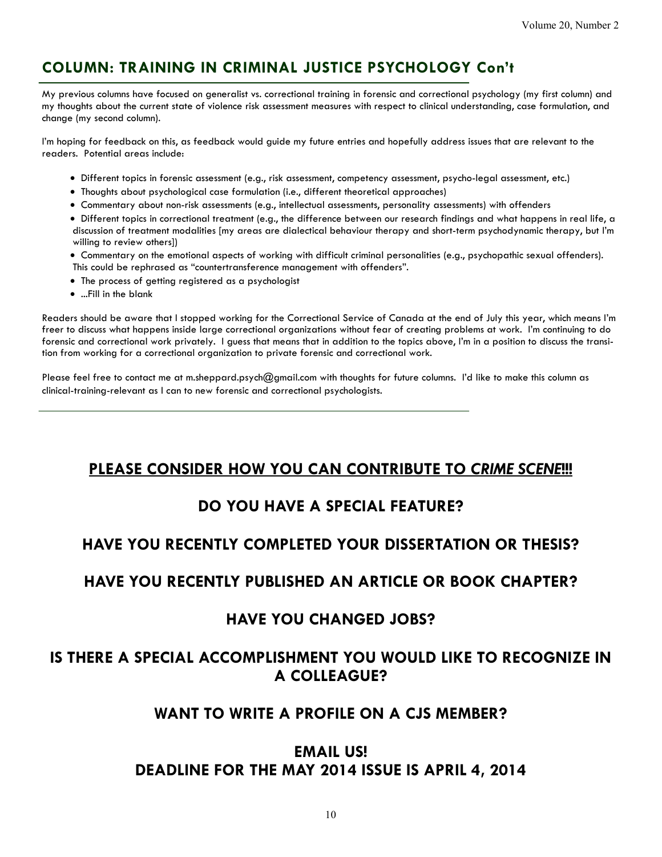## **COLUMN: TRAINING IN CRIMINAL JUSTICE PSYCHOLOGY Con't**

My previous columns have focused on generalist vs. correctional training in forensic and correctional psychology (my first column) and my thoughts about the current state of violence risk assessment measures with respect to clinical understanding, case formulation, and change (my second column).

I'm hoping for feedback on this, as feedback would guide my future entries and hopefully address issues that are relevant to the readers. Potential areas include:

- Different topics in forensic assessment (e.g., risk assessment, competency assessment, psycho-legal assessment, etc.)
- Thoughts about psychological case formulation (i.e., different theoretical approaches)
- Commentary about non-risk assessments (e.g., intellectual assessments, personality assessments) with offenders
- Different topics in correctional treatment (e.g., the difference between our research findings and what happens in real life, a discussion of treatment modalities [my areas are dialectical behaviour therapy and short-term psychodynamic therapy, but I'm willing to review others])
- Commentary on the emotional aspects of working with difficult criminal personalities (e.g., psychopathic sexual offenders). This could be rephrased as "countertransference management with offenders".
- The process of getting registered as a psychologist
- ...Fill in the blank

Readers should be aware that I stopped working for the Correctional Service of Canada at the end of July this year, which means I'm freer to discuss what happens inside large correctional organizations without fear of creating problems at work. I'm continuing to do forensic and correctional work privately. I guess that means that in addition to the topics above, I'm in a position to discuss the transition from working for a correctional organization to private forensic and correctional work.

Please feel free to contact me at m.sheppard.psych@gmail.com with thoughts for future columns. I'd like to make this column as clinical-training-relevant as I can to new forensic and correctional psychologists.

## **PLEASE CONSIDER HOW YOU CAN CONTRIBUTE TO** *CRIME SCENE***!!!**

## **DO YOU HAVE A SPECIAL FEATURE?**

## **HAVE YOU RECENTLY COMPLETED YOUR DISSERTATION OR THESIS?**

## **HAVE YOU RECENTLY PUBLISHED AN ARTICLE OR BOOK CHAPTER?**

## **HAVE YOU CHANGED JOBS?**

## **IS THERE A SPECIAL ACCOMPLISHMENT YOU WOULD LIKE TO RECOGNIZE IN A COLLEAGUE?**

## **WANT TO WRITE A PROFILE ON A CJS MEMBER?**

## **EMAIL US! DEADLINE FOR THE MAY 2014 ISSUE IS APRIL 4, 2014**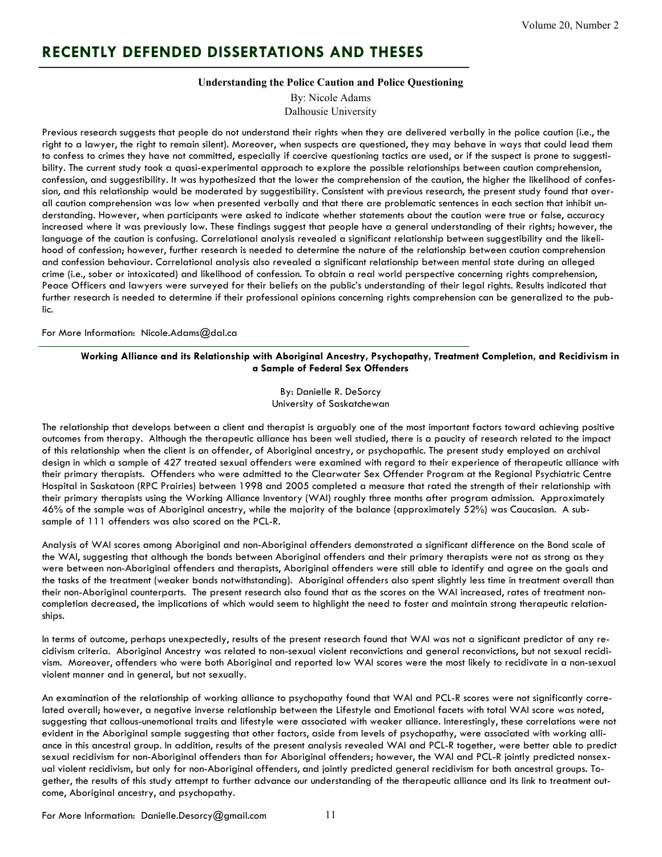## **RECENTLY DEFENDED DISSERTATIONS AND THESES**

#### **Understanding the Police Caution and Police Questioning**

By: Nicole Adams Dalhousie University

Previous research suggests that people do not understand their rights when they are delivered verbally in the police caution (i.e., the right to a lawyer, the right to remain silent). Moreover, when suspects are questioned, they may behave in ways that could lead them to confess to crimes they have not committed, especially if coercive questioning tactics are used, or if the suspect is prone to suggestibility. The current study took a quasi-experimental approach to explore the possible relationships between caution comprehension, confession, and suggestibility. It was hypothesized that the lower the comprehension of the caution, the higher the likelihood of confession, and this relationship would be moderated by suggestibility. Consistent with previous research, the present study found that overall caution comprehension was low when presented verbally and that there are problematic sentences in each section that inhibit understanding. However, when participants were asked to indicate whether statements about the caution were true or false, accuracy increased where it was previously low. These findings suggest that people have a general understanding of their rights; however, the language of the caution is confusing. Correlational analysis revealed a significant relationship between suggestibility and the likelihood of confession; however, further research is needed to determine the nature of the relationship between caution comprehension and confession behaviour. Correlational analysis also revealed a significant relationship between mental state during an alleged crime (i.e., sober or intoxicated) and likelihood of confession. To obtain a real world perspective concerning rights comprehension, Peace Officers and lawyers were surveyed for their beliefs on the public's understanding of their legal rights. Results indicated that further research is needed to determine if their professional opinions concerning rights comprehension can be generalized to the public.

#### For More Information: Nicole.Adams@dal.ca

#### **Working Alliance and its Relationship with Aboriginal Ancestry, Psychopathy, Treatment Completion, and Recidivism in a Sample of Federal Sex Offenders**

By: Danielle R. DeSorcy University of Saskatchewan

The relationship that develops between a client and therapist is arguably one of the most important factors toward achieving positive outcomes from therapy. Although the therapeutic alliance has been well studied, there is a paucity of research related to the impact of this relationship when the client is an offender, of Aboriginal ancestry, or psychopathic. The present study employed an archival design in which a sample of 427 treated sexual offenders were examined with regard to their experience of therapeutic alliance with their primary therapists. Offenders who were admitted to the Clearwater Sex Offender Program at the Regional Psychiatric Centre Hospital in Saskatoon (RPC Prairies) between 1998 and 2005 completed a measure that rated the strength of their relationship with their primary therapists using the Working Alliance Inventory (WAI) roughly three months after program admission. Approximately 46% of the sample was of Aboriginal ancestry, while the majority of the balance (approximately 52%) was Caucasian. A subsample of 111 offenders was also scored on the PCL-R.

Analysis of WAI scores among Aboriginal and non-Aboriginal offenders demonstrated a significant difference on the Bond scale of the WAI, suggesting that although the bonds between Aboriginal offenders and their primary therapists were not as strong as they were between non-Aboriginal offenders and therapists, Aboriginal offenders were still able to identify and agree on the goals and the tasks of the treatment (weaker bonds notwithstanding). Aboriginal offenders also spent slightly less time in treatment overall than their non-Aboriginal counterparts. The present research also found that as the scores on the WAI increased, rates of treatment noncompletion decreased, the implications of which would seem to highlight the need to foster and maintain strong therapeutic relationships.

In terms of outcome, perhaps unexpectedly, results of the present research found that WAI was not a significant predictor of any recidivism criteria. Aboriginal Ancestry was related to non-sexual violent reconvictions and general reconvictions, but not sexual recidivism. Moreover, offenders who were both Aboriginal and reported low WAI scores were the most likely to recidivate in a non-sexual violent manner and in general, but not sexually.

An examination of the relationship of working alliance to psychopathy found that WAI and PCL-R scores were not significantly correlated overall; however, a negative inverse relationship between the Lifestyle and Emotional facets with total WAI score was noted, suggesting that callous-unemotional traits and lifestyle were associated with weaker alliance. Interestingly, these correlations were not evident in the Aboriginal sample suggesting that other factors, aside from levels of psychopathy, were associated with working alliance in this ancestral group. In addition, results of the present analysis revealed WAI and PCL-R together, were better able to predict sexual recidivism for non-Aboriginal offenders than for Aboriginal offenders; however, the WAI and PCL-R jointly predicted nonsexual violent recidivism, but only for non-Aboriginal offenders, and jointly predicted general recidivism for both ancestral groups. Together, the results of this study attempt to further advance our understanding of the therapeutic alliance and its link to treatment outcome, Aboriginal ancestry, and psychopathy.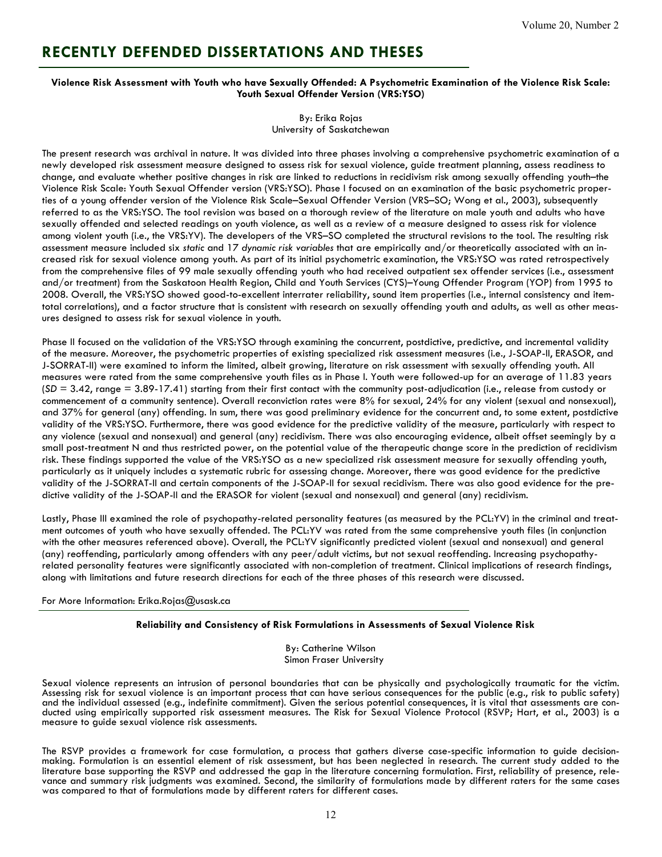## **RECENTLY DEFENDED DISSERTATIONS AND THESES**

#### **Violence Risk Assessment with Youth who have Sexually Offended: A Psychometric Examination of the Violence Risk Scale: Youth Sexual Offender Version (VRS:YSO)**

By: Erika Rojas University of Saskatchewan

The present research was archival in nature. It was divided into three phases involving a comprehensive psychometric examination of a newly developed risk assessment measure designed to assess risk for sexual violence, guide treatment planning, assess readiness to change, and evaluate whether positive changes in risk are linked to reductions in recidivism risk among sexually offending youth–the Violence Risk Scale: Youth Sexual Offender version (VRS:YSO). Phase I focused on an examination of the basic psychometric properties of a young offender version of the Violence Risk Scale–Sexual Offender Version (VRS–SO; Wong et al., 2003), subsequently referred to as the VRS:YSO. The tool revision was based on a thorough review of the literature on male youth and adults who have sexually offended and selected readings on youth violence, as well as a review of a measure designed to assess risk for violence among violent youth (i.e., the VRS:YV). The developers of the VRS–SO completed the structural revisions to the tool. The resulting risk assessment measure included six *static* and 17 *dynamic risk variables* that are empirically and/or theoretically associated with an increased risk for sexual violence among youth. As part of its initial psychometric examination, the VRS:YSO was rated retrospectively from the comprehensive files of 99 male sexually offending youth who had received outpatient sex offender services (i.e., assessment and/or treatment) from the Saskatoon Health Region, Child and Youth Services (CYS)–Young Offender Program (YOP) from 1995 to 2008. Overall, the VRS:YSO showed good-to-excellent interrater reliability, sound item properties (i.e., internal consistency and itemtotal correlations), and a factor structure that is consistent with research on sexually offending youth and adults, as well as other measures designed to assess risk for sexual violence in youth.

Phase II focused on the validation of the VRS:YSO through examining the concurrent, postdictive, predictive, and incremental validity of the measure. Moreover, the psychometric properties of existing specialized risk assessment measures (i.e., J-SOAP-II, ERASOR, and J-SORRAT-II) were examined to inform the limited, albeit growing, literature on risk assessment with sexually offending youth. All measures were rated from the same comprehensive youth files as in Phase I. Youth were followed-up for an average of 11.83 years (*SD* = 3.42, range = 3.89-17.41) starting from their first contact with the community post-adjudication (i.e., release from custody or commencement of a community sentence). Overall reconviction rates were 8% for sexual, 24% for any violent (sexual and nonsexual), and 37% for general (any) offending. In sum, there was good preliminary evidence for the concurrent and, to some extent, postdictive validity of the VRS:YSO. Furthermore, there was good evidence for the predictive validity of the measure, particularly with respect to any violence (sexual and nonsexual) and general (any) recidivism. There was also encouraging evidence, albeit offset seemingly by a small post-treatment N and thus restricted power, on the potential value of the therapeutic change score in the prediction of recidivism risk. These findings supported the value of the VRS:YSO as a new specialized risk assessment measure for sexually offending youth, particularly as it uniquely includes a systematic rubric for assessing change. Moreover, there was good evidence for the predictive validity of the J-SORRAT-II and certain components of the J-SOAP-II for sexual recidivism. There was also good evidence for the predictive validity of the J-SOAP-II and the ERASOR for violent (sexual and nonsexual) and general (any) recidivism.

Lastly, Phase III examined the role of psychopathy-related personality features (as measured by the PCL:YV) in the criminal and treatment outcomes of youth who have sexually offended. The PCL:YV was rated from the same comprehensive youth files (in conjunction with the other measures referenced above). Overall, the PCL:YV significantly predicted violent (sexual and nonsexual) and general (any) reoffending, particularly among offenders with any peer/adult victims, but not sexual reoffending. Increasing psychopathyrelated personality features were significantly associated with non-completion of treatment. Clinical implications of research findings, along with limitations and future research directions for each of the three phases of this research were discussed.

#### For More Information: Erika.Rojas@usask.ca

#### **Reliability and Consistency of Risk Formulations in Assessments of Sexual Violence Risk**

By: Catherine Wilson Simon Fraser University

Sexual violence represents an intrusion of personal boundaries that can be physically and psychologically traumatic for the victim. Assessing risk for sexual violence is an important process that can have serious consequences for the public (e.g., risk to public safety) and the individual assessed (e.g., indefinite commitment). Given the serious potential consequences, it is vital that assessments are conducted using empirically supported risk assessment measures. The Risk for Sexual Violence Protocol (RSVP; Hart, et al., 2003) is a measure to guide sexual violence risk assessments.

The RSVP provides a framework for case formulation, a process that gathers diverse case-specific information to guide decisionmaking. Formulation is an essential element of risk assessment, but has been neglected in research. The current study added to the literature base supporting the RSVP and addressed the gap in the literature concerning formulation. First, reliability of presence, relevance and summary risk judgments was examined. Second, the similarity of formulations made by different raters for the same cases was compared to that of formulations made by different raters for different cases.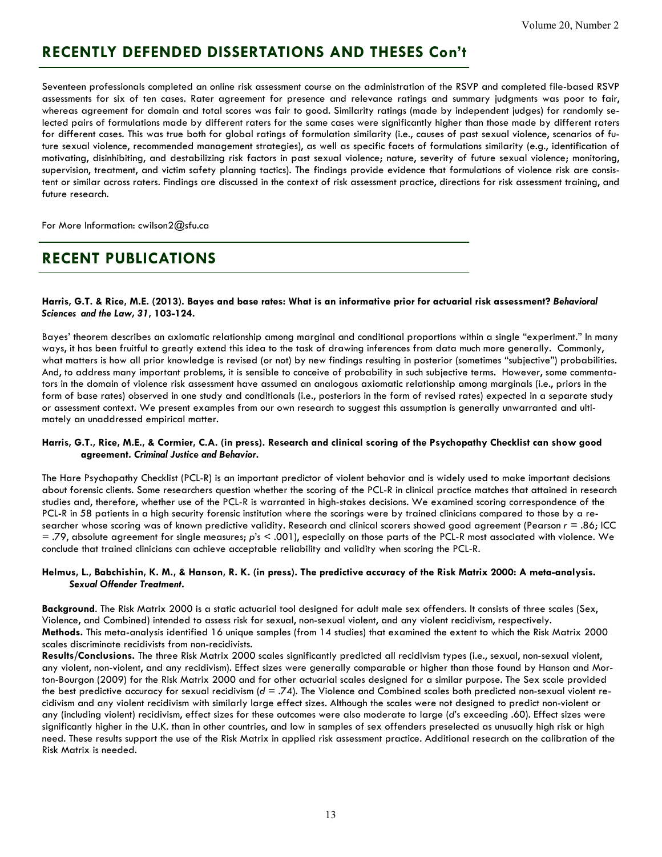## **RECENTLY DEFENDED DISSERTATIONS AND THESES Con't**

Seventeen professionals completed an online risk assessment course on the administration of the RSVP and completed file-based RSVP assessments for six of ten cases. Rater agreement for presence and relevance ratings and summary judgments was poor to fair, whereas agreement for domain and total scores was fair to good. Similarity ratings (made by independent judges) for randomly selected pairs of formulations made by different raters for the same cases were significantly higher than those made by different raters for different cases. This was true both for global ratings of formulation similarity (i.e., causes of past sexual violence, scenarios of future sexual violence, recommended management strategies), as well as specific facets of formulations similarity (e.g., identification of motivating, disinhibiting, and destabilizing risk factors in past sexual violence; nature, severity of future sexual violence; monitoring, supervision, treatment, and victim safety planning tactics). The findings provide evidence that formulations of violence risk are consistent or similar across raters. Findings are discussed in the context of risk assessment practice, directions for risk assessment training, and future research.

For More Information: cwilson2@sfu.ca

## **RECENT PUBLICATIONS**

**Harris, G.T. & Rice, M.E. (2013). Bayes and base rates: What is an informative prior for actuarial risk assessment?** *Behavioral Sciences and the Law, 31***, 103-124.** 

Bayes' theorem describes an axiomatic relationship among marginal and conditional proportions within a single "experiment." In many ways, it has been fruitful to greatly extend this idea to the task of drawing inferences from data much more generally. Commonly, what matters is how all prior knowledge is revised (or not) by new findings resulting in posterior (sometimes "subjective") probabilities. And, to address many important problems, it is sensible to conceive of probability in such subjective terms. However, some commentators in the domain of violence risk assessment have assumed an analogous axiomatic relationship among marginals (i.e., priors in the form of base rates) observed in one study and conditionals (i.e., posteriors in the form of revised rates) expected in a separate study or assessment context. We present examples from our own research to suggest this assumption is generally unwarranted and ultimately an unaddressed empirical matter.

#### **Harris, G.T., Rice, M.E., & Cormier, C.A. (in press). Research and clinical scoring of the Psychopathy Checklist can show good agreement.** *Criminal Justice and Behavior***.**

The Hare Psychopathy Checklist (PCL-R) is an important predictor of violent behavior and is widely used to make important decisions about forensic clients. Some researchers question whether the scoring of the PCL-R in clinical practice matches that attained in research studies and, therefore, whether use of the PCL-R is warranted in high-stakes decisions. We examined scoring correspondence of the PCL-R in 58 patients in a high security forensic institution where the scorings were by trained clinicians compared to those by a researcher whose scoring was of known predictive validity. Research and clinical scorers showed good agreement (Pearson *r* = .86; ICC = .79, absolute agreement for single measures; *p*'s < .001), especially on those parts of the PCL-R most associated with violence. We conclude that trained clinicians can achieve acceptable reliability and validity when scoring the PCL-R.

#### **Helmus, L., Babchishin, K. M., & Hanson, R. K. (in press). The predictive accuracy of the Risk Matrix 2000: A meta-analysis.**  *Sexual Offender Treatment***.**

**Background**. The Risk Matrix 2000 is a static actuarial tool designed for adult male sex offenders. It consists of three scales (Sex, Violence, and Combined) intended to assess risk for sexual, non-sexual violent, and any violent recidivism, respectively. **Methods.** This meta-analysis identified 16 unique samples (from 14 studies) that examined the extent to which the Risk Matrix 2000 scales discriminate recidivists from non-recidivists.

**Results/Conclusions.** The three Risk Matrix 2000 scales significantly predicted all recidivism types (i.e., sexual, non-sexual violent, any violent, non-violent, and any recidivism). Effect sizes were generally comparable or higher than those found by Hanson and Morton-Bourgon (2009) for the Risk Matrix 2000 and for other actuarial scales designed for a similar purpose. The Sex scale provided the best predictive accuracy for sexual recidivism (*d* = .74). The Violence and Combined scales both predicted non-sexual violent recidivism and any violent recidivism with similarly large effect sizes. Although the scales were not designed to predict non-violent or any (including violent) recidivism, effect sizes for these outcomes were also moderate to large (*d*'s exceeding .60). Effect sizes were significantly higher in the U.K. than in other countries, and low in samples of sex offenders preselected as unusually high risk or high need. These results support the use of the Risk Matrix in applied risk assessment practice. Additional research on the calibration of the Risk Matrix is needed.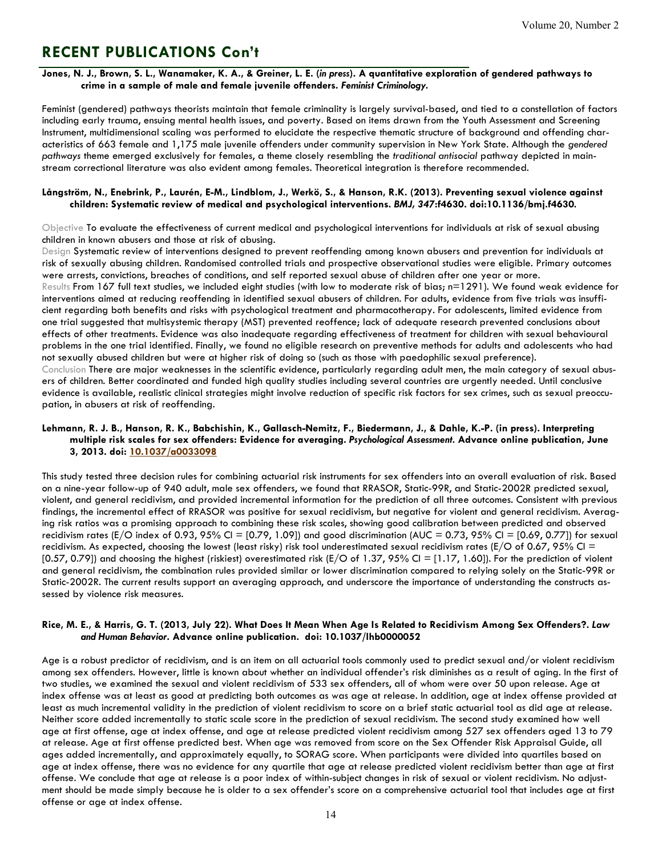## **RECENT PUBLICATIONS Con't**

#### **Jones, N. J., Brown, S. L., Wanamaker, K. A., & Greiner, L. E. (***in press***). A quantitative exploration of gendered pathways to crime in a sample of male and female juvenile offenders.** *Feminist Criminology.*

Feminist (gendered) pathways theorists maintain that female criminality is largely survival-based, and tied to a constellation of factors including early trauma, ensuing mental health issues, and poverty. Based on items drawn from the Youth Assessment and Screening Instrument, multidimensional scaling was performed to elucidate the respective thematic structure of background and offending characteristics of 663 female and 1,175 male juvenile offenders under community supervision in New York State. Although the *gendered pathways* theme emerged exclusively for females, a theme closely resembling the *traditional antisocial* pathway depicted in mainstream correctional literature was also evident among females. Theoretical integration is therefore recommended.

#### **Långström, N., Enebrink, P., Laurén, E-M., Lindblom, J., Werkö, S., & Hanson, R.K. (2013). Preventing sexual violence against children: Systematic review of medical and psychological interventions.** *BMJ, 347***:f4630. doi:10.1136/bmj.f4630***.*

Objective To evaluate the effectiveness of current medical and psychological interventions for individuals at risk of sexual abusing children in known abusers and those at risk of abusing.

Design Systematic review of interventions designed to prevent reoffending among known abusers and prevention for individuals at risk of sexually abusing children. Randomised controlled trials and prospective observational studies were eligible. Primary outcomes were arrests, convictions, breaches of conditions, and self reported sexual abuse of children after one year or more.

Results From 167 full text studies, we included eight studies (with low to moderate risk of bias; n=1291). We found weak evidence for interventions aimed at reducing reoffending in identified sexual abusers of children. For adults, evidence from five trials was insufficient regarding both benefits and risks with psychological treatment and pharmacotherapy. For adolescents, limited evidence from one trial suggested that multisystemic therapy (MST) prevented reoffence; lack of adequate research prevented conclusions about effects of other treatments. Evidence was also inadequate regarding effectiveness of treatment for children with sexual behavioural problems in the one trial identified. Finally, we found no eligible research on preventive methods for adults and adolescents who had not sexually abused children but were at higher risk of doing so (such as those with paedophilic sexual preference).

Conclusion There are major weaknesses in the scientific evidence, particularly regarding adult men, the main category of sexual abusers of children. Better coordinated and funded high quality studies including several countries are urgently needed. Until conclusive evidence is available, realistic clinical strategies might involve reduction of specific risk factors for sex crimes, such as sexual preoccupation, in abusers at risk of reoffending.

#### **Lehmann, R. J. B., Hanson, R. K., Babchishin, K., Gallasch-Nemitz, F., Biedermann, J., & Dahle, K.-P. (in press). Interpreting multiple risk scales for sex offenders: Evidence for averaging.** *Psychological Assessment.* **Advance online publication, June 3, 2013. doi: 10.1037/a0033098**

This study tested three decision rules for combining actuarial risk instruments for sex offenders into an overall evaluation of risk. Based on a nine-year follow-up of 940 adult, male sex offenders, we found that RRASOR, Static-99R, and Static-2002R predicted sexual, violent, and general recidivism, and provided incremental information for the prediction of all three outcomes. Consistent with previous findings, the incremental effect of RRASOR was positive for sexual recidivism, but negative for violent and general recidivism. Averaging risk ratios was a promising approach to combining these risk scales, showing good calibration between predicted and observed recidivism rates (E/O index of 0.93, 95% CI =  $[0.79, 1.09]$  and good discrimination (AUC = 0.73, 95% CI =  $[0.69, 0.77]$ ) for sexual recidivism. As expected, choosing the lowest (least risky) risk tool underestimated sexual recidivism rates ( $E/O$  of 0.67, 95% CI = [0.57, 0.79]) and choosing the highest (riskiest) overestimated risk (E/O of 1.37, 95% CI = [1.17, 1.60]). For the prediction of violent and general recidivism, the combination rules provided similar or lower discrimination compared to relying solely on the Static-99R or Static-2002R. The current results support an averaging approach, and underscore the importance of understanding the constructs assessed by violence risk measures.

#### **Rice, M. E., & Harris, G. T. (2013, July 22). What Does It Mean When Age Is Related to Recidivism Among Sex Offenders?.** *Law and Human Behavior***. Advance online publication. doi: 10.1037/lhb0000052**

Age is a robust predictor of recidivism, and is an item on all actuarial tools commonly used to predict sexual and/or violent recidivism among sex offenders. However, little is known about whether an individual offender's risk diminishes as a result of aging. In the first of two studies, we examined the sexual and violent recidivism of 533 sex offenders, all of whom were over 50 upon release. Age at index offense was at least as good at predicting both outcomes as was age at release. In addition, age at index offense provided at least as much incremental validity in the prediction of violent recidivism to score on a brief static actuarial tool as did age at release. Neither score added incrementally to static scale score in the prediction of sexual recidivism. The second study examined how well age at first offense, age at index offense, and age at release predicted violent recidivism among 527 sex offenders aged 13 to 79 at release. Age at first offense predicted best. When age was removed from score on the Sex Offender Risk Appraisal Guide, all ages added incrementally, and approximately equally, to SORAG score. When participants were divided into quartiles based on age at index offense, there was no evidence for any quartile that age at release predicted violent recidivism better than age at first offense. We conclude that age at release is a poor index of within-subject changes in risk of sexual or violent recidivism. No adjustment should be made simply because he is older to a sex offender's score on a comprehensive actuarial tool that includes age at first offense or age at index offense.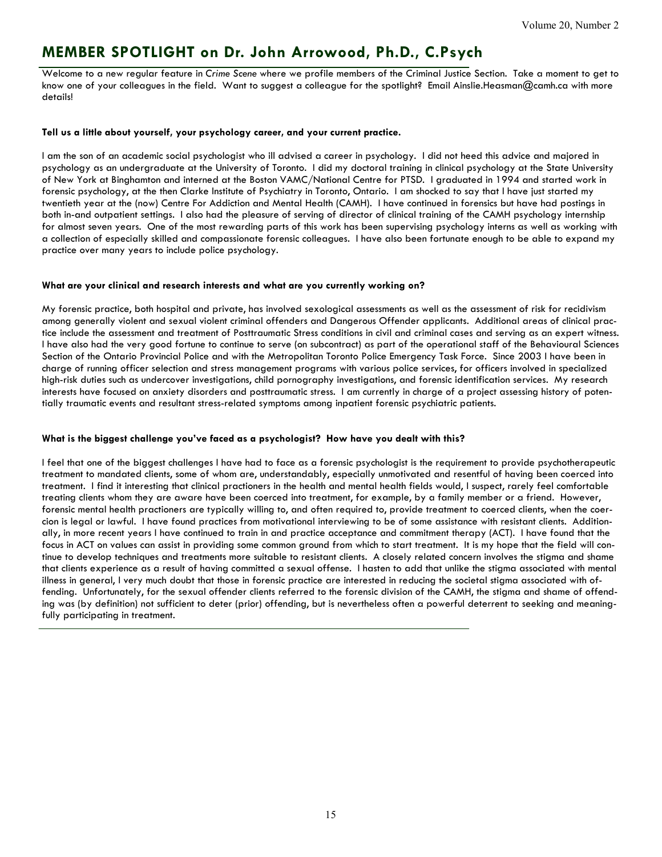## **MEMBER SPOTLIGHT on Dr. John Arrowood, Ph.D., C.Psych**

Welcome to a new regular feature in *Crime Scene* where we profile members of the Criminal Justice Section. Take a moment to get to know one of your colleagues in the field. Want to suggest a colleague for the spotlight? Email Ainslie.Heasman@camh.ca with more details!

#### **Tell us a little about yourself, your psychology career, and your current practice.**

I am the son of an academic social psychologist who ill advised a career in psychology. I did not heed this advice and majored in psychology as an undergraduate at the University of Toronto. I did my doctoral training in clinical psychology at the State University of New York at Binghamton and interned at the Boston VAMC/National Centre for PTSD. I graduated in 1994 and started work in forensic psychology, at the then Clarke Institute of Psychiatry in Toronto, Ontario. I am shocked to say that I have just started my twentieth year at the (now) Centre For Addiction and Mental Health (CAMH). I have continued in forensics but have had postings in both in-and outpatient settings. I also had the pleasure of serving of director of clinical training of the CAMH psychology internship for almost seven years. One of the most rewarding parts of this work has been supervising psychology interns as well as working with a collection of especially skilled and compassionate forensic colleagues. I have also been fortunate enough to be able to expand my practice over many years to include police psychology.

#### **What are your clinical and research interests and what are you currently working on?**

My forensic practice, both hospital and private, has involved sexological assessments as well as the assessment of risk for recidivism among generally violent and sexual violent criminal offenders and Dangerous Offender applicants. Additional areas of clinical practice include the assessment and treatment of Posttraumatic Stress conditions in civil and criminal cases and serving as an expert witness. I have also had the very good fortune to continue to serve (on subcontract) as part of the operational staff of the Behavioural Sciences Section of the Ontario Provincial Police and with the Metropolitan Toronto Police Emergency Task Force. Since 2003 I have been in charge of running officer selection and stress management programs with various police services, for officers involved in specialized high-risk duties such as undercover investigations, child pornography investigations, and forensic identification services. My research interests have focused on anxiety disorders and posttraumatic stress. I am currently in charge of a project assessing history of potentially traumatic events and resultant stress-related symptoms among inpatient forensic psychiatric patients.

#### **What is the biggest challenge you've faced as a psychologist? How have you dealt with this?**

I feel that one of the biggest challenges I have had to face as a forensic psychologist is the requirement to provide psychotherapeutic treatment to mandated clients, some of whom are, understandably, especially unmotivated and resentful of having been coerced into treatment. I find it interesting that clinical practioners in the health and mental health fields would, I suspect, rarely feel comfortable treating clients whom they are aware have been coerced into treatment, for example, by a family member or a friend. However, forensic mental health practioners are typically willing to, and often required to, provide treatment to coerced clients, when the coercion is legal or lawful. I have found practices from motivational interviewing to be of some assistance with resistant clients. Additionally, in more recent years I have continued to train in and practice acceptance and commitment therapy (ACT). I have found that the focus in ACT on values can assist in providing some common ground from which to start treatment. It is my hope that the field will continue to develop techniques and treatments more suitable to resistant clients. A closely related concern involves the stigma and shame that clients experience as a result of having committed a sexual offense. I hasten to add that unlike the stigma associated with mental illness in general, I very much doubt that those in forensic practice are interested in reducing the societal stigma associated with offending. Unfortunately, for the sexual offender clients referred to the forensic division of the CAMH, the stigma and shame of offending was (by definition) not sufficient to deter (prior) offending, but is nevertheless often a powerful deterrent to seeking and meaningfully participating in treatment.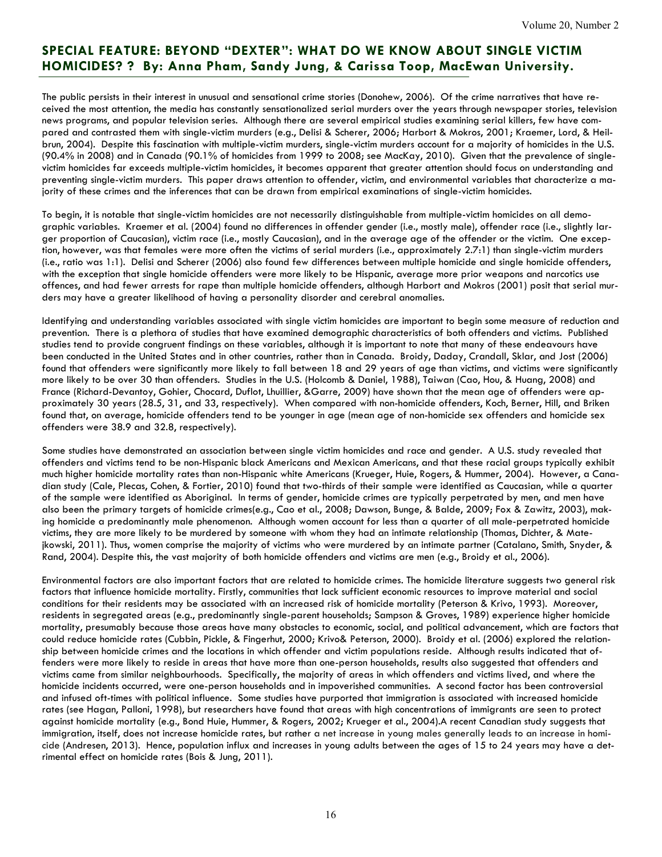## **SPECIAL FEATURE: BEYOND "DEXTER": WHAT DO WE KNOW ABOUT SINGLE VICTIM HOMICIDES? ? By: Anna Pham, Sandy Jung, & Carissa Toop, MacEwan University.**

The public persists in their interest in unusual and sensational crime stories (Donohew, 2006). Of the crime narratives that have received the most attention, the media has constantly sensationalized serial murders over the years through newspaper stories, television news programs, and popular television series. Although there are several empirical studies examining serial killers, few have compared and contrasted them with single-victim murders (e.g., Delisi & Scherer, 2006; Harbort & Mokros, 2001; Kraemer, Lord, & Heilbrun, 2004). Despite this fascination with multiple-victim murders, single-victim murders account for a majority of homicides in the U.S. (90.4% in 2008) and in Canada (90.1% of homicides from 1999 to 2008; see MacKay, 2010). Given that the prevalence of singlevictim homicides far exceeds multiple-victim homicides, it becomes apparent that greater attention should focus on understanding and preventing single-victim murders. This paper draws attention to offender, victim, and environmental variables that characterize a majority of these crimes and the inferences that can be drawn from empirical examinations of single-victim homicides.

To begin, it is notable that single-victim homicides are not necessarily distinguishable from multiple-victim homicides on all demographic variables. Kraemer et al. (2004) found no differences in offender gender (i.e., mostly male), offender race (i.e., slightly larger proportion of Caucasian), victim race (i.e., mostly Caucasian), and in the average age of the offender or the victim. One exception, however, was that females were more often the victims of serial murders (i.e., approximately 2.7:1) than single-victim murders (i.e., ratio was 1:1). Delisi and Scherer (2006) also found few differences between multiple homicide and single homicide offenders, with the exception that single homicide offenders were more likely to be Hispanic, average more prior weapons and narcotics use offences, and had fewer arrests for rape than multiple homicide offenders, although Harbort and Mokros (2001) posit that serial murders may have a greater likelihood of having a personality disorder and cerebral anomalies.

Identifying and understanding variables associated with single victim homicides are important to begin some measure of reduction and prevention. There is a plethora of studies that have examined demographic characteristics of both offenders and victims. Published studies tend to provide congruent findings on these variables, although it is important to note that many of these endeavours have been conducted in the United States and in other countries, rather than in Canada. Broidy, Daday, Crandall, Sklar, and Jost (2006) found that offenders were significantly more likely to fall between 18 and 29 years of age than victims, and victims were significantly more likely to be over 30 than offenders. Studies in the U.S. (Holcomb & Daniel, 1988), Taiwan (Cao, Hou, & Huang, 2008) and France (Richard-Devantoy, Gohier, Chocard, Duflot, Lhuillier, &Garre, 2009) have shown that the mean age of offenders were approximately 30 years (28.5, 31, and 33, respectively). When compared with non-homicide offenders, Koch, Berner, Hill, and Briken found that, on average, homicide offenders tend to be younger in age (mean age of non-homicide sex offenders and homicide sex offenders were 38.9 and 32.8, respectively).

Some studies have demonstrated an association between single victim homicides and race and gender. A U.S. study revealed that offenders and victims tend to be non-Hispanic black Americans and Mexican Americans, and that these racial groups typically exhibit much higher homicide mortality rates than non-Hispanic white Americans (Krueger, Huie, Rogers, & Hummer, 2004). However, a Canadian study (Cale, Plecas, Cohen, & Fortier, 2010) found that two-thirds of their sample were identified as Caucasian, while a quarter of the sample were identified as Aboriginal. In terms of gender, homicide crimes are typically perpetrated by men, and men have also been the primary targets of homicide crimes(e.g., Cao et al., 2008; Dawson, Bunge, & Balde, 2009; Fox & Zawitz, 2003), making homicide a predominantly male phenomenon. Although women account for less than a quarter of all male-perpetrated homicide victims, they are more likely to be murdered by someone with whom they had an intimate relationship (Thomas, Dichter, & Matejkowski, 2011). Thus, women comprise the majority of victims who were murdered by an intimate partner (Catalano, Smith, Snyder, & Rand, 2004). Despite this, the vast majority of both homicide offenders and victims are men (e.g., Broidy et al., 2006).

Environmental factors are also important factors that are related to homicide crimes. The homicide literature suggests two general risk factors that influence homicide mortality. Firstly, communities that lack sufficient economic resources to improve material and social conditions for their residents may be associated with an increased risk of homicide mortality (Peterson & Krivo, 1993). Moreover, residents in segregated areas (e.g., predominantly single-parent households; Sampson & Groves, 1989) experience higher homicide mortality, presumably because those areas have many obstacles to economic, social, and political advancement, which are factors that could reduce homicide rates (Cubbin, Pickle, & Fingerhut, 2000; Krivo& Peterson, 2000). Broidy et al. (2006) explored the relationship between homicide crimes and the locations in which offender and victim populations reside. Although results indicated that offenders were more likely to reside in areas that have more than one-person households, results also suggested that offenders and victims came from similar neighbourhoods. Specifically, the majority of areas in which offenders and victims lived, and where the homicide incidents occurred, were one-person households and in impoverished communities. A second factor has been controversial and infused oft-times with political influence. Some studies have purported that immigration is associated with increased homicide rates (see Hagan, Palloni, 1998), but researchers have found that areas with high concentrations of immigrants are seen to protect against homicide mortality (e.g., Bond Huie, Hummer, & Rogers, 2002; Krueger et al., 2004).A recent Canadian study suggests that immigration, itself, does not increase homicide rates, but rather a net increase in young males generally leads to an increase in homicide (Andresen, 2013). Hence, population influx and increases in young adults between the ages of 15 to 24 years may have a detrimental effect on homicide rates (Bois & Jung, 2011).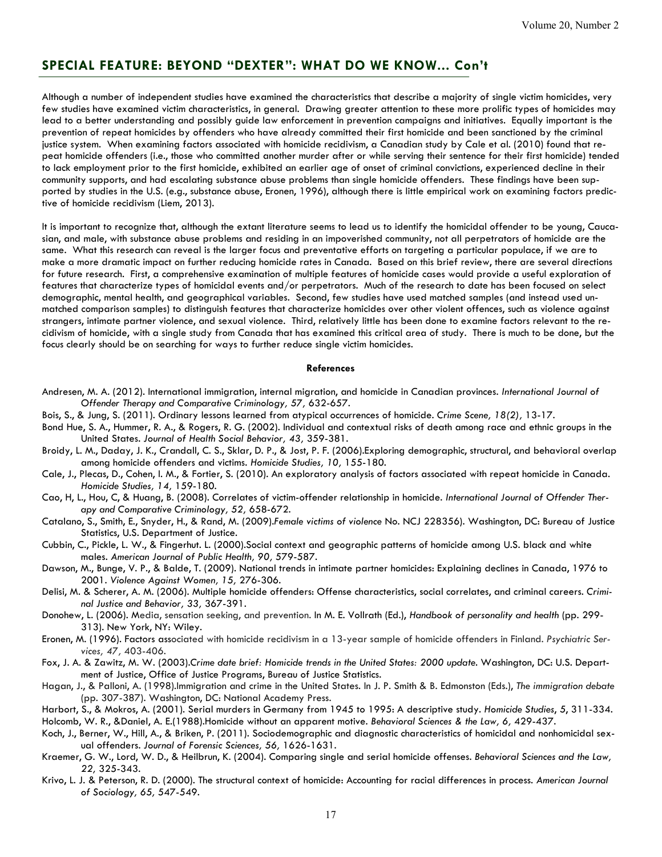#### **SPECIAL FEATURE: BEYOND "DEXTER": WHAT DO WE KNOW... Con't**

Although a number of independent studies have examined the characteristics that describe a majority of single victim homicides, very few studies have examined victim characteristics, in general. Drawing greater attention to these more prolific types of homicides may lead to a better understanding and possibly guide law enforcement in prevention campaigns and initiatives. Equally important is the prevention of repeat homicides by offenders who have already committed their first homicide and been sanctioned by the criminal justice system. When examining factors associated with homicide recidivism, a Canadian study by Cale et al. (2010) found that repeat homicide offenders (i.e., those who committed another murder after or while serving their sentence for their first homicide) tended to lack employment prior to the first homicide, exhibited an earlier age of onset of criminal convictions, experienced decline in their community supports, and had escalating substance abuse problems than single homicide offenders. These findings have been supported by studies in the U.S. (e.g., substance abuse, Eronen, 1996), although there is little empirical work on examining factors predictive of homicide recidivism (Liem, 2013).

It is important to recognize that, although the extant literature seems to lead us to identify the homicidal offender to be young, Caucasian, and male, with substance abuse problems and residing in an impoverished community, not all perpetrators of homicide are the same. What this research can reveal is the larger focus and preventative efforts on targeting a particular populace, if we are to make a more dramatic impact on further reducing homicide rates in Canada. Based on this brief review, there are several directions for future research. First, a comprehensive examination of multiple features of homicide cases would provide a useful exploration of features that characterize types of homicidal events and/or perpetrators. Much of the research to date has been focused on select demographic, mental health, and geographical variables. Second, few studies have used matched samples (and instead used unmatched comparison samples) to distinguish features that characterize homicides over other violent offences, such as violence against strangers, intimate partner violence, and sexual violence. Third, relatively little has been done to examine factors relevant to the recidivism of homicide, with a single study from Canada that has examined this critical area of study. There is much to be done, but the focus clearly should be on searching for ways to further reduce single victim homicides.

#### **References**

- Andresen, M. A. (2012). International immigration, internal migration, and homicide in Canadian provinces. *International Journal of Offender Therapy and Comparative Criminology, 57,* 632-657.
- Bois, S., & Jung, S. (2011). Ordinary lessons learned from atypical occurrences of homicide. *Crime Scene, 18(2),* 13-17.
- Bond Hue, S. A., Hummer, R. A., & Rogers, R. G. (2002). Individual and contextual risks of death among race and ethnic groups in the United States. *Journal of Health Social Behavior, 43,* 359-381.
- Broidy, L. M., Daday, J. K., Crandall, C. S., Sklar, D. P., & Jost, P. F. (2006).Exploring demographic, structural, and behavioral overlap among homicide offenders and victims. *Homicide Studies, 10,* 155-180.
- Cale, J., Plecas, D., Cohen, I. M., & Fortier, S. (2010). An exploratory analysis of factors associated with repeat homicide in Canada. *Homicide Studies, 14,* 159-180.
- Cao, H, L., Hou, C, & Huang, B. (2008). Correlates of victim-offender relationship in homicide. *International Journal of Offender Therapy and Comparative Criminology, 52,* 658-672.
- Catalano, S., Smith, E., Snyder, H., & Rand, M. (2009).*Female victims of violence* No. NCJ 228356). Washington, DC: Bureau of Justice Statistics, U.S. Department of Justice.
- Cubbin, C., Pickle, L. W., & Fingerhut. L. (2000).Social context and geographic patterns of homicide among U.S. black and white males. *American Journal of Public Health, 90,* 579-587.
- Dawson, M., Bunge, V. P., & Balde, T. (2009). National trends in intimate partner homicides: Explaining declines in Canada, 1976 to 2001. *Violence Against Women, 15,* 276-306.
- Delisi, M. & Scherer, A. M. (2006). Multiple homicide offenders: Offense characteristics, social correlates, and criminal careers. *Criminal Justice and Behavior, 33,* 367-391.
- Donohew, L. (2006). Media, sensation seeking, and prevention. In M. E. Vollrath (Ed.), *Handbook of personality and health* (pp. 299- 313). New York, NY: Wiley.
- Eronen, M. (1996). Factors associated with homicide recidivism in a 13-year sample of homicide offenders in Finland. *Psychiatric Services, 47,* 403-406.
- Fox, J. A. & Zawitz, M. W. (2003).*Crime date brief: Homicide trends in the United States: 2000 update.* Washington, DC: U.S. Department of Justice, Office of Justice Programs, Bureau of Justice Statistics.
- Hagan, J., & Palloni, A. (1998).Immigration and crime in the United States. In J. P. Smith & B. Edmonston (Eds.), *The immigration debate*  (pp. 307-387). Washington, DC: National Academy Press.
- Harbort, S., & Mokros, A. (2001). Serial murders in Germany from 1945 to 1995: A descriptive study. *Homicide Studies*, *5*, 311-334. Holcomb, W. R., &Daniel, A. E.(1988).Homicide without an apparent motive. *Behavioral Sciences & the Law, 6,* 429-437.
- Koch, J., Berner, W., Hill, A., & Briken, P. (2011). Sociodemographic and diagnostic characteristics of homicidal and nonhomicidal sexual offenders. *Journal of Forensic Sciences, 56,* 1626-1631.
- Kraemer, G. W., Lord, W. D., & Heilbrun, K. (2004). Comparing single and serial homicide offenses. *Behavioral Sciences and the Law, 22,* 325-343.
- Krivo, L. J. & Peterson, R. D. (2000). The structural context of homicide: Accounting for racial differences in process. *American Journal of Sociology, 65,* 547-549.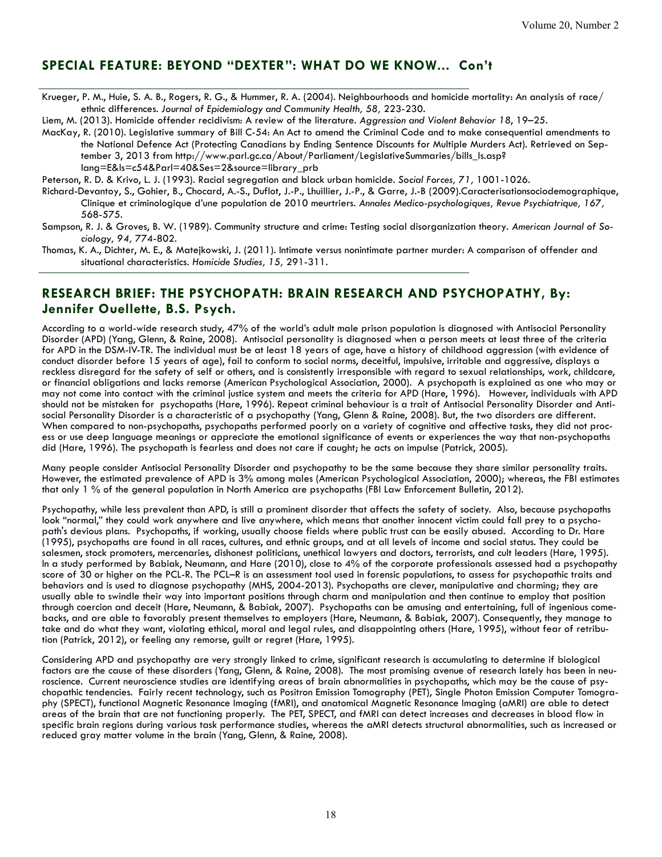## **SPECIAL FEATURE: BEYOND "DEXTER": WHAT DO WE KNOW... Con't**

Krueger, P. M., Huie, S. A. B., Rogers, R. G., & Hummer, R. A. (2004). Neighbourhoods and homicide mortality: An analysis of race/ ethnic differences. *Journal of Epidemiology and Community Health, 58,* 223-230.

Liem, M. (2013). Homicide offender recidivism: A review of the literature. *Aggression and Violent Behavior 18*, 19–25.

MacKay, R. (2010). Legislative summary of Bill C-54: An Act to amend the Criminal Code and to make consequential amendments to the National Defence Act (Protecting Canadians by Ending Sentence Discounts for Multiple Murders Act). Retrieved on September 3, 2013 from http://www.parl.gc.ca/About/Parliament/LegislativeSummaries/bills ls.asp? lang=E&ls=c54&Parl=40&Ses=2&source=library\_prb

Peterson, R. D. & Krivo, L. J. (1993). Racial segregation and black urban homicide. *Social Forces, 71,* 1001-1026.

- Richard-Devantoy, S., Gohier, B., Chocard, A.-S., Duflot, J.-P., Lhuillier, J.-P., & Garre, J.-B (2009).Caracterisationsociodemographique, Clinique et criminologique d'une population de 2010 meurtriers. *Annales Medico-psychologiques, Revue Psychiatrique, 167,*  568-575.
- Sampson, R. J. & Groves, B. W. (1989). Community structure and crime: Testing social disorganization theory. *American Journal of Sociology, 94,* 774-802.
- Thomas, K. A., Dichter, M. E., & Matejkowski, J. (2011). Intimate versus nonintimate partner murder: A comparison of offender and situational characteristics. *Homicide Studies, 15,* 291-311.

## **RESEARCH BRIEF: THE PSYCHOPATH: BRAIN RESEARCH AND PSYCHOPATHY, By: Jennifer Ouellette, B.S. Psych.**

According to a world-wide research study, 47% of the world's adult male prison population is diagnosed with Antisocial Personality Disorder (APD) (Yang, Glenn, & Raine, 2008). Antisocial personality is diagnosed when a person meets at least three of the criteria for APD in the DSM-IV-TR. The individual must be at least 18 years of age, have a history of childhood aggression (with evidence of conduct disorder before 15 years of age), fail to conform to social norms, deceitful, impulsive, irritable and aggressive, displays a reckless disregard for the safety of self or others, and is consistently irresponsible with regard to sexual relationships, work, childcare, or financial obligations and lacks remorse (American Psychological Association, 2000). A psychopath is explained as one who may or may not come into contact with the criminal justice system and meets the criteria for APD (Hare, 1996). However, individuals with APD should not be mistaken for psychopaths (Hare, 1996). Repeat criminal behaviour is a trait of Antisocial Personality Disorder and Antisocial Personality Disorder is a characteristic of a psychopathy (Yang, Glenn & Raine, 2008). But, the two disorders are different. When compared to non-psychopaths, psychopaths performed poorly on a variety of cognitive and affective tasks, they did not process or use deep language meanings or appreciate the emotional significance of events or experiences the way that non-psychopaths did (Hare, 1996). The psychopath is fearless and does not care if caught; he acts on impulse (Patrick, 2005).

Many people consider Antisocial Personality Disorder and psychopathy to be the same because they share similar personality traits. However, the estimated prevalence of APD is 3% among males (American Psychological Association, 2000); whereas, the FBI estimates that only 1 % of the general population in North America are psychopaths (FBI Law Enforcement Bulletin, 2012).

Psychopathy, while less prevalent than APD, is still a prominent disorder that affects the safety of society. Also, because psychopaths look "normal," they could work anywhere and live anywhere, which means that another innocent victim could fall prey to a psychopath's devious plans. Psychopaths, if working, usually choose fields where public trust can be easily abused. According to Dr. Hare (1995), psychopaths are found in all races, cultures, and ethnic groups, and at all levels of income and social status. They could be salesmen, stock promoters, mercenaries, dishonest politicians, unethical lawyers and doctors, terrorists, and cult leaders (Hare, 1995). In a study performed by Babiak, Neumann, and Hare (2010), close to 4% of the corporate professionals assessed had a psychopathy score of 30 or higher on the PCL-R. The PCL–R is an assessment tool used in forensic populations, to assess for psychopathic traits and behaviors and is used to diagnose psychopathy (MHS, 2004-2013). Psychopaths are clever, manipulative and charming; they are usually able to swindle their way into important positions through charm and manipulation and then continue to employ that position through coercion and deceit (Hare, Neumann, & Babiak, 2007). Psychopaths can be amusing and entertaining, full of ingenious comebacks, and are able to favorably present themselves to employers (Hare, Neumann, & Babiak, 2007). Consequently, they manage to take and do what they want, violating ethical, moral and legal rules, and disappointing others (Hare, 1995), without fear of retribution (Patrick, 2012), or feeling any remorse, guilt or regret (Hare, 1995).

Considering APD and psychopathy are very strongly linked to crime, significant research is accumulating to determine if biological factors are the cause of these disorders (Yang, Glenn, & Raine, 2008). The most promising avenue of research lately has been in neuroscience. Current neuroscience studies are identifying areas of brain abnormalities in psychopaths, which may be the cause of psychopathic tendencies. Fairly recent technology, such as Positron Emission Tomography (PET), Single Photon Emission Computer Tomography (SPECT), functional Magnetic Resonance Imaging (fMRI), and anatomical Magnetic Resonance Imaging (aMRI) are able to detect areas of the brain that are not functioning properly. The PET, SPECT, and fMRI can detect increases and decreases in blood flow in specific brain regions during various task performance studies, whereas the aMRI detects structural abnormalities, such as increased or reduced gray matter volume in the brain (Yang, Glenn, & Raine, 2008).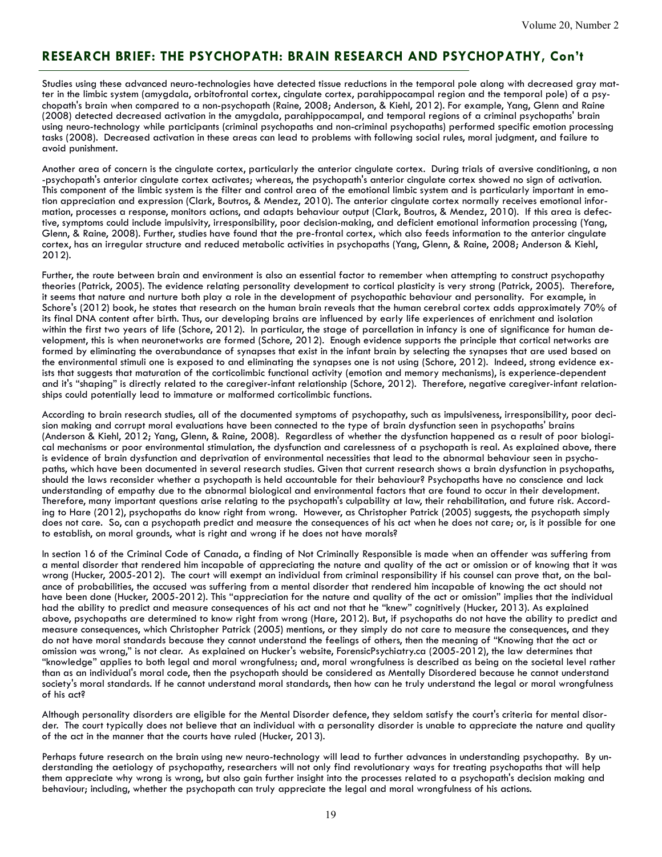## **RESEARCH BRIEF: THE PSYCHOPATH: BRAIN RESEARCH AND PSYCHOPATHY, Con't**

Studies using these advanced neuro-technologies have detected tissue reductions in the temporal pole along with decreased gray matter in the limbic system (amygdala, orbitofrontal cortex, cingulate cortex, parahippocampal region and the temporal pole) of a psychopath's brain when compared to a non-psychopath (Raine, 2008; Anderson, & Kiehl, 2012). For example, Yang, Glenn and Raine (2008) detected decreased activation in the amygdala, parahippocampal, and temporal regions of a criminal psychopaths' brain using neuro-technology while participants (criminal psychopaths and non-criminal psychopaths) performed specific emotion processing tasks (2008). Decreased activation in these areas can lead to problems with following social rules, moral judgment, and failure to avoid punishment.

Another area of concern is the cingulate cortex, particularly the anterior cingulate cortex. During trials of aversive conditioning, a non -psychopath's anterior cingulate cortex activates; whereas, the psychopath's anterior cingulate cortex showed no sign of activation. This component of the limbic system is the filter and control area of the emotional limbic system and is particularly important in emotion appreciation and expression (Clark, Boutros, & Mendez, 2010). The anterior cingulate cortex normally receives emotional information, processes a response, monitors actions, and adapts behaviour output (Clark, Boutros, & Mendez, 2010). If this area is defective, symptoms could include impulsivity, irresponsibility, poor decision-making, and deficient emotional information processing (Yang, Glenn, & Raine, 2008). Further, studies have found that the pre-frontal cortex, which also feeds information to the anterior cingulate cortex, has an irregular structure and reduced metabolic activities in psychopaths (Yang, Glenn, & Raine, 2008; Anderson & Kiehl, 2012).

Further, the route between brain and environment is also an essential factor to remember when attempting to construct psychopathy theories (Patrick, 2005). The evidence relating personality development to cortical plasticity is very strong (Patrick, 2005). Therefore, it seems that nature and nurture both play a role in the development of psychopathic behaviour and personality. For example, in Schore's (2012) book, he states that research on the human brain reveals that the human cerebral cortex adds approximately 70% of its final DNA content after birth. Thus, our developing brains are influenced by early life experiences of enrichment and isolation within the first two years of life (Schore, 2012). In particular, the stage of parcellation in infancy is one of significance for human development, this is when neuronetworks are formed (Schore, 2012). Enough evidence supports the principle that cortical networks are formed by eliminating the overabundance of synapses that exist in the infant brain by selecting the synapses that are used based on the environmental stimuli one is exposed to and eliminating the synapses one is not using (Schore, 2012). Indeed, strong evidence exists that suggests that maturation of the corticolimbic functional activity (emotion and memory mechanisms), is experience-dependent and it's "shaping" is directly related to the caregiver-infant relationship (Schore, 2012). Therefore, negative caregiver-infant relationships could potentially lead to immature or malformed corticolimbic functions.

According to brain research studies, all of the documented symptoms of psychopathy, such as impulsiveness, irresponsibility, poor decision making and corrupt moral evaluations have been connected to the type of brain dysfunction seen in psychopaths' brains (Anderson & Kiehl, 2012; Yang, Glenn, & Raine, 2008). Regardless of whether the dysfunction happened as a result of poor biological mechanisms or poor environmental stimulation, the dysfunction and carelessness of a psychopath is real. As explained above, there is evidence of brain dysfunction and deprivation of environmental necessities that lead to the abnormal behaviour seen in psychopaths, which have been documented in several research studies. Given that current research shows a brain dysfunction in psychopaths, should the laws reconsider whether a psychopath is held accountable for their behaviour? Psychopaths have no conscience and lack understanding of empathy due to the abnormal biological and environmental factors that are found to occur in their development. Therefore, many important questions arise relating to the psychopath's culpability at law, their rehabilitation, and future risk. According to Hare (2012), psychopaths do know right from wrong. However, as Christopher Patrick (2005) suggests, the psychopath simply does not care. So, can a psychopath predict and measure the consequences of his act when he does not care; or, is it possible for one to establish, on moral grounds, what is right and wrong if he does not have morals?

In section 16 of the Criminal Code of Canada, a finding of Not Criminally Responsible is made when an offender was suffering from a mental disorder that rendered him incapable of appreciating the nature and quality of the act or omission or of knowing that it was wrong (Hucker, 2005-2012). The court will exempt an individual from criminal responsibility if his counsel can prove that, on the balance of probabilities, the accused was suffering from a mental disorder that rendered him incapable of knowing the act should not have been done (Hucker, 2005-2012). This "appreciation for the nature and quality of the act or omission" implies that the individual had the ability to predict and measure consequences of his act and not that he "knew" cognitively (Hucker, 2013). As explained above, psychopaths are determined to know right from wrong (Hare, 2012). But, if psychopaths do not have the ability to predict and measure consequences, which Christopher Patrick (2005) mentions, or they simply do not care to measure the consequences, and they do not have moral standards because they cannot understand the feelings of others, then the meaning of "Knowing that the act or omission was wrong," is not clear. As explained on Hucker's website, ForensicPsychiatry.ca (2005-2012), the law determines that "knowledge" applies to both legal and moral wrongfulness; and, moral wrongfulness is described as being on the societal level rather than as an individual's moral code, then the psychopath should be considered as Mentally Disordered because he cannot understand society's moral standards. If he cannot understand moral standards, then how can he truly understand the legal or moral wrongfulness of his act?

Although personality disorders are eligible for the Mental Disorder defence, they seldom satisfy the court's criteria for mental disorder. The court typically does not believe that an individual with a personality disorder is unable to appreciate the nature and quality of the act in the manner that the courts have ruled (Hucker, 2013).

Perhaps future research on the brain using new neuro-technology will lead to further advances in understanding psychopathy. By understanding the aetiology of psychopathy, researchers will not only find revolutionary ways for treating psychopaths that will help them appreciate why wrong is wrong, but also gain further insight into the processes related to a psychopath's decision making and behaviour; including, whether the psychopath can truly appreciate the legal and moral wrongfulness of his actions.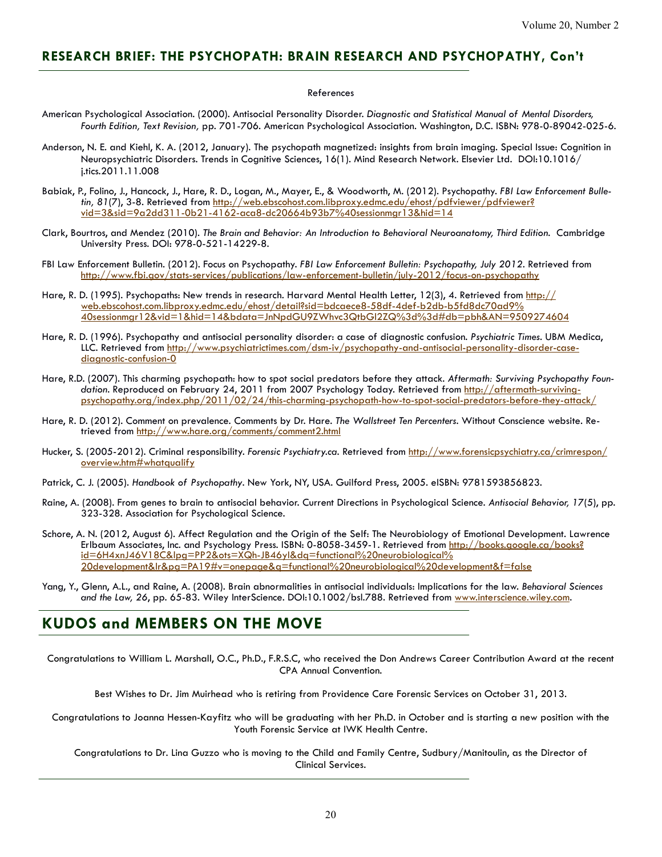#### **RESEARCH BRIEF: THE PSYCHOPATH: BRAIN RESEARCH AND PSYCHOPATHY, Con't**

#### References

- American Psychological Association. (2000). Antisocial Personality Disorder. *Diagnostic and Statistical Manual of Mental Disorders, Fourth Edition, Text Revision,* pp. 701-706. American Psychological Association. Washington, D.C. ISBN: 978-0-89042-025-6.
- Anderson, N. E. and Kiehl, K. A. (2012, January). The psychopath magnetized: insights from brain imaging. Special Issue: Cognition in Neuropsychiatric Disorders. Trends in Cognitive Sciences, 16(1). Mind Research Network. Elsevier Ltd. DOI:10.1016/ j.tics.2011.11.008
- Babiak, P., Folino, J., Hancock, J., Hare, R. D., Logan, M., Mayer, E., & Woodworth, M. (2012). Psychopathy. *FBI Law Enforcement Bulletin, 81*(7), 3-8. Retrieved from http://web.ebscohost.com.libproxy.edmc.edu/ehost/pdfviewer/pdfviewer? vid=3&sid=9a2dd311-0b21-4162-aca8-dc20664b93b7%40sessionmgr13&hid=14
- Clark, Bourtros, and Mendez (2010). *The Brain and Behavior: An Introduction to Behavioral Neuroanatomy, Third Edition.* Cambridge University Press. DOI: 978-0-521-14229-8.
- FBI Law Enforcement Bulletin. (2012). Focus on Psychopathy. *FBI Law Enforcement Bulletin: Psychopathy, July 2012*. Retrieved from http://www.fbi.gov/stats-services/publications/law-enforcement-bulletin/july-2012/focus-on-psychopathy
- Hare, R. D. (1995). Psychopaths: New trends in research. Harvard Mental Health Letter, 12(3), 4. Retrieved from http:// web.ebscohost.com.libproxy.edmc.edu/ehost/detail?sid=bdcaece8-58df-4def-b2db-b5fd8dc70ad9% 40sessionmgr12&vid=1&hid=14&bdata=JnNpdGU9ZWhvc3QtbGl2ZQ%3d%3d#db=pbh&AN=9509274604
- Hare, R. D. (1996). Psychopathy and antisocial personality disorder: a case of diagnostic confusion. *Psychiatric Times.* UBM Medica, LLC. Retrieved from http://www.psychiatrictimes.com/dsm-iv/psychopathy-and-antisocial-personality-disorder-casediagnostic-confusion-0
- Hare, R.D. (2007). This charming psychopath: how to spot social predators before they attack. *Aftermath: Surviving Psychopathy Foun*dation. Reproduced on February 24, 2011 from 2007 Psychology Today. Retrieved from http://aftermath-survivingpsychopathy.org/index.php/2011/02/24/this-charming-psychopath-how-to-spot-social-predators-before-they-attack/
- Hare, R. D. (2012). Comment on prevalence. Comments by Dr. Hare. *The Wallstreet Ten Percenters.* Without Conscience website. Retrieved from http://www.hare.org/comments/comment2.html
- Hucker, S. (2005-2012). Criminal responsibility. *Forensic Psychiatry.ca.* Retrieved from http://www.forensicpsychiatry.ca/crimrespon/ overview.htm#whatqualify
- Patrick, C. J. (2005). *Handbook of Psychopathy*. New York, NY, USA. Guilford Press, 2005. eISBN: 9781593856823.
- Raine, A. (2008). From genes to brain to antisocial behavior. Current Directions in Psychological Science. *Antisocial Behavior, 17*(5), pp. 323-328. Association for Psychological Science.
- Schore, A. N. (2012, August 6). Affect Regulation and the Origin of the Self: The Neurobiology of Emotional Development. Lawrence Erlbaum Associates, Inc. and Psychology Press. ISBN: 0-8058-3459-1. Retrieved from http://books.google.ca/books? id=6H4xnJ46V18C&lpg=PP2&ots=XQh-JB46yI&dq=functional%20neurobiological% 20development&lr&pg=PA19#v=onepage&q=functional%20neurobiological%20development&f=false
- Yang, Y., Glenn, A.L., and Raine, A. (2008). Brain abnormalities in antisocial individuals: Implications for the law. *Behavioral Sciences and the Law, 26*, pp. 65-83. Wiley InterScience. DOI:10.1002/bsl.788. Retrieved from www.interscience.wiley.com.

## **KUDOS and MEMBERS ON THE MOVE**

Congratulations to William L. Marshall, O.C., Ph.D., F.R.S.C, who received the Don Andrews Career Contribution Award at the recent CPA Annual Convention.

Best Wishes to Dr. Jim Muirhead who is retiring from Providence Care Forensic Services on October 31, 2013.

Congratulations to Joanna Hessen-Kayfitz who will be graduating with her Ph.D. in October and is starting a new position with the Youth Forensic Service at IWK Health Centre.

Congratulations to Dr. Lina Guzzo who is moving to the Child and Family Centre, Sudbury/Manitoulin, as the Director of Clinical Services.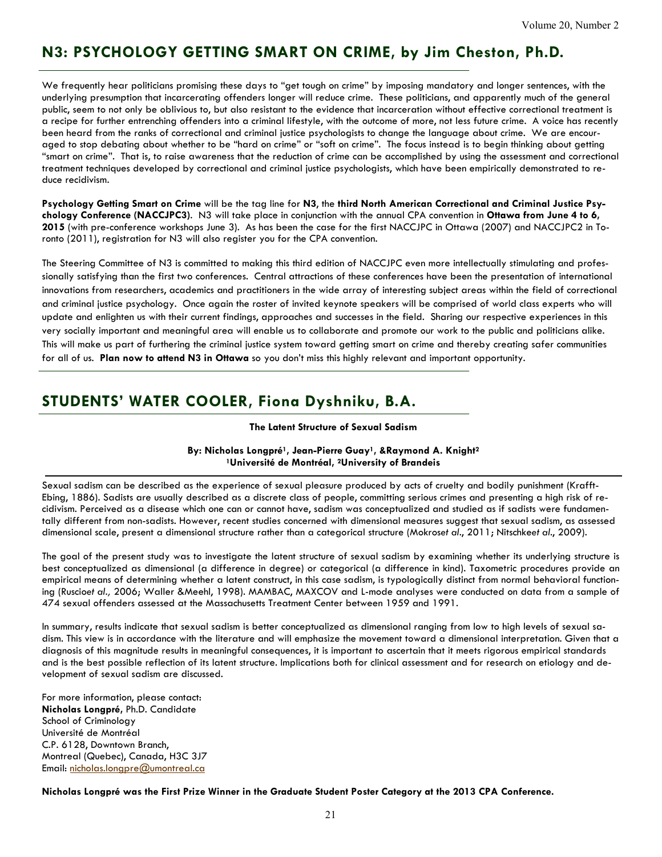## **N3: PSYCHOLOGY GETTING SMART ON CRIME, by Jim Cheston, Ph.D.**

We frequently hear politicians promising these days to "get tough on crime" by imposing mandatory and longer sentences, with the underlying presumption that incarcerating offenders longer will reduce crime. These politicians, and apparently much of the general public, seem to not only be oblivious to, but also resistant to the evidence that incarceration without effective correctional treatment is a recipe for further entrenching offenders into a criminal lifestyle, with the outcome of more, not less future crime. A voice has recently been heard from the ranks of correctional and criminal justice psychologists to change the language about crime. We are encouraged to stop debating about whether to be "hard on crime" or "soft on crime". The focus instead is to begin thinking about getting "smart on crime". That is, to raise awareness that the reduction of crime can be accomplished by using the assessment and correctional treatment techniques developed by correctional and criminal justice psychologists, which have been empirically demonstrated to reduce recidivism.

**Psychology Getting Smart on Crime** will be the tag line for **N3**, the **third North American Correctional and Criminal Justice Psychology Conference (NACCJPC3)**. N3 will take place in conjunction with the annual CPA convention in **Ottawa from June 4 to 6, 2015** (with pre-conference workshops June 3). As has been the case for the first NACCJPC in Ottawa (2007) and NACCJPC2 in Toronto (2011), registration for N3 will also register you for the CPA convention.

The Steering Committee of N3 is committed to making this third edition of NACCJPC even more intellectually stimulating and professionally satisfying than the first two conferences. Central attractions of these conferences have been the presentation of international innovations from researchers, academics and practitioners in the wide array of interesting subject areas within the field of correctional and criminal justice psychology. Once again the roster of invited keynote speakers will be comprised of world class experts who will update and enlighten us with their current findings, approaches and successes in the field. Sharing our respective experiences in this very socially important and meaningful area will enable us to collaborate and promote our work to the public and politicians alike. This will make us part of furthering the criminal justice system toward getting smart on crime and thereby creating safer communities for all of us. **Plan now to attend N3 in Ottawa** so you don't miss this highly relevant and important opportunity.

## **STUDENTS' WATER COOLER, Fiona Dyshniku, B.A.**

#### **The Latent Structure of Sexual Sadism**

#### **By: Nicholas Longpré1, Jean-Pierre Guay1, &Raymond A. Knight<sup>2</sup> <sup>1</sup>Université de Montréal, 2University of Brandeis**

Sexual sadism can be described as the experience of sexual pleasure produced by acts of cruelty and bodily punishment (Krafft-Ebing, 1886). Sadists are usually described as a discrete class of people, committing serious crimes and presenting a high risk of recidivism. Perceived as a disease which one can or cannot have, sadism was conceptualized and studied as if sadists were fundamentally different from non-sadists. However, recent studies concerned with dimensional measures suggest that sexual sadism, as assessed dimensional scale, present a dimensional structure rather than a categorical structure (Mokros*et al*., 2011; Nitschke*et al*., 2009).

The goal of the present study was to investigate the latent structure of sexual sadism by examining whether its underlying structure is best conceptualized as dimensional (a difference in degree) or categorical (a difference in kind). Taxometric procedures provide an empirical means of determining whether a latent construct, in this case sadism, is typologically distinct from normal behavioral functioning (Ruscio*et al.,* 2006; Waller &Meehl, 1998). MAMBAC, MAXCOV and L-mode analyses were conducted on data from a sample of 474 sexual offenders assessed at the Massachusetts Treatment Center between 1959 and 1991.

In summary, results indicate that sexual sadism is better conceptualized as dimensional ranging from low to high levels of sexual sadism. This view is in accordance with the literature and will emphasize the movement toward a dimensional interpretation. Given that a diagnosis of this magnitude results in meaningful consequences, it is important to ascertain that it meets rigorous empirical standards and is the best possible reflection of its latent structure. Implications both for clinical assessment and for research on etiology and development of sexual sadism are discussed.

For more information, please contact: **Nicholas Longpré,** Ph.D. Candidate School of Criminology Université de Montréal C.P. 6128, Downtown Branch, Montreal (Quebec), Canada, H3C 3J7 Email: nicholas.longpre@umontreal.ca

**Nicholas Longpré was the First Prize Winner in the Graduate Student Poster Category at the 2013 CPA Conference.**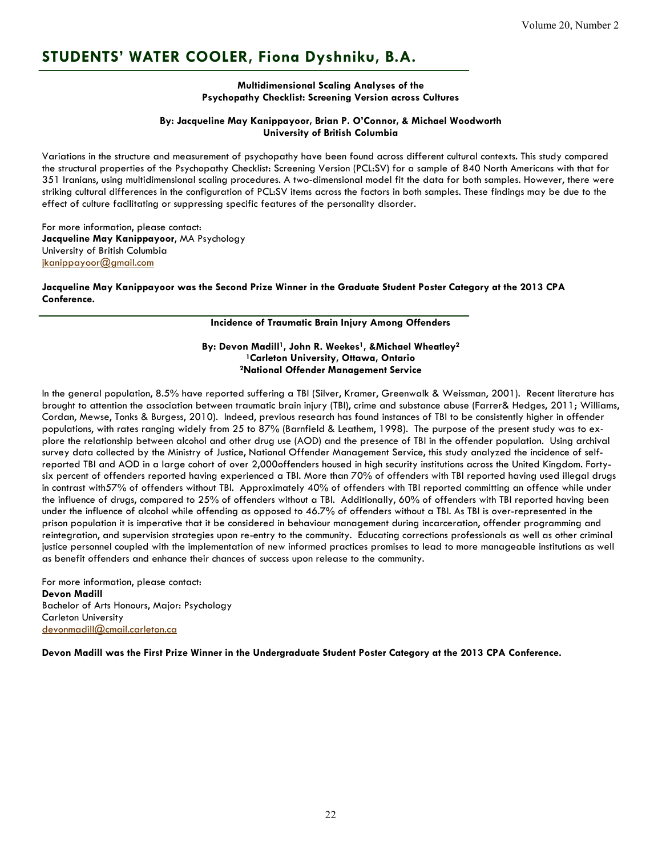## **STUDENTS' WATER COOLER, Fiona Dyshniku, B.A.**

#### **Multidimensional Scaling Analyses of the Psychopathy Checklist: Screening Version across Cultures**

#### **By: Jacqueline May Kanippayoor, Brian P. O'Connor, & Michael Woodworth University of British Columbia**

Variations in the structure and measurement of psychopathy have been found across different cultural contexts. This study compared the structural properties of the Psychopathy Checklist: Screening Version (PCL:SV) for a sample of 840 North Americans with that for 351 Iranians, using multidimensional scaling procedures. A two-dimensional model fit the data for both samples. However, there were striking cultural differences in the configuration of PCL:SV items across the factors in both samples. These findings may be due to the effect of culture facilitating or suppressing specific features of the personality disorder.

For more information, please contact: **Jacqueline May Kanippayoor**, MA Psychology University of British Columbia jkanippayoor@gmail.com

**Jacqueline May Kanippayoor was the Second Prize Winner in the Graduate Student Poster Category at the 2013 CPA Conference.** 

#### **Incidence of Traumatic Brain Injury Among Offenders**

#### **By: Devon Madill1, John R. Weekes1, &Michael Wheatley<sup>2</sup> <sup>1</sup>Carleton University, Ottawa, Ontario <sup>2</sup>National Offender Management Service**

In the general population, 8.5% have reported suffering a TBI (Silver, Kramer, Greenwalk & Weissman, 2001). Recent literature has brought to attention the association between traumatic brain injury (TBI), crime and substance abuse (Farrer& Hedges, 2011; Williams, Cordan, Mewse, Tonks & Burgess, 2010). Indeed, previous research has found instances of TBI to be consistently higher in offender populations, with rates ranging widely from 25 to 87% (Barnfield & Leathem, 1998). The purpose of the present study was to explore the relationship between alcohol and other drug use (AOD) and the presence of TBI in the offender population. Using archival survey data collected by the Ministry of Justice, National Offender Management Service, this study analyzed the incidence of selfreported TBI and AOD in a large cohort of over 2,000offenders housed in high security institutions across the United Kingdom. Fortysix percent of offenders reported having experienced a TBI. More than 70% of offenders with TBI reported having used illegal drugs in contrast with57% of offenders without TBI. Approximately 40% of offenders with TBI reported committing an offence while under the influence of drugs, compared to 25% of offenders without a TBI. Additionally, 60% of offenders with TBI reported having been under the influence of alcohol while offending as opposed to 46.7% of offenders without a TBI. As TBI is over-represented in the prison population it is imperative that it be considered in behaviour management during incarceration, offender programming and reintegration, and supervision strategies upon re-entry to the community. Educating corrections professionals as well as other criminal justice personnel coupled with the implementation of new informed practices promises to lead to more manageable institutions as well as benefit offenders and enhance their chances of success upon release to the community.

For more information, please contact: **Devon Madill**  Bachelor of Arts Honours, Major: Psychology Carleton University devonmadill@cmail.carleton.ca

**Devon Madill was the First Prize Winner in the Undergraduate Student Poster Category at the 2013 CPA Conference.**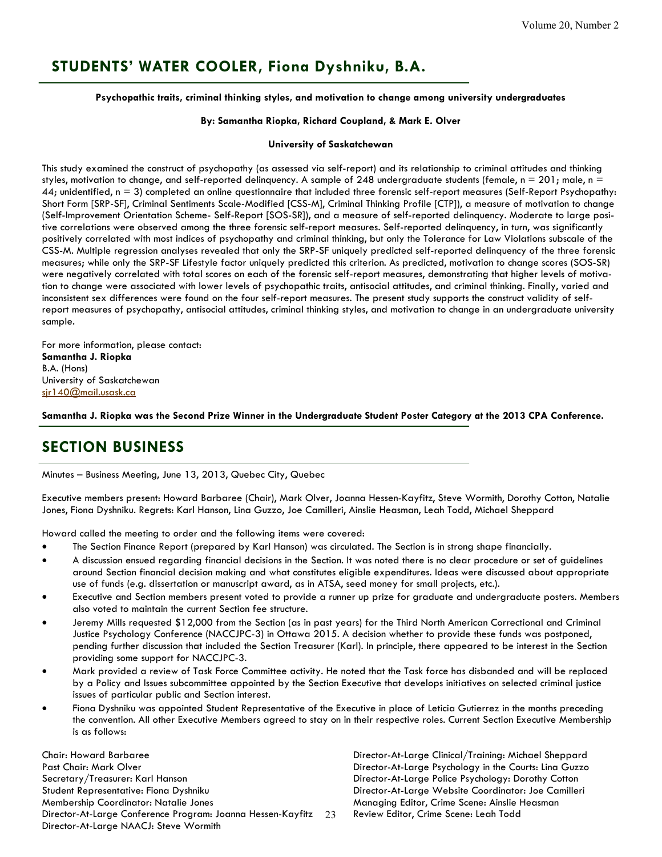## **STUDENTS' WATER COOLER, Fiona Dyshniku, B.A.**

**Psychopathic traits, criminal thinking styles, and motivation to change among university undergraduates** 

#### **By: Samantha Riopka, Richard Coupland, & Mark E. Olver**

#### **University of Saskatchewan**

This study examined the construct of psychopathy (as assessed via self-report) and its relationship to criminal attitudes and thinking styles, motivation to change, and self-reported delinquency. A sample of 248 undergraduate students (female, n = 201; male, n = 44; unidentified, n = 3) completed an online questionnaire that included three forensic self-report measures (Self-Report Psychopathy: Short Form [SRP-SF], Criminal Sentiments Scale-Modified [CSS-M], Criminal Thinking Profile [CTP]), a measure of motivation to change (Self-Improvement Orientation Scheme- Self-Report [SOS-SR]), and a measure of self-reported delinquency. Moderate to large positive correlations were observed among the three forensic self-report measures. Self-reported delinquency, in turn, was significantly positively correlated with most indices of psychopathy and criminal thinking, but only the Tolerance for Law Violations subscale of the CSS-M. Multiple regression analyses revealed that only the SRP-SF uniquely predicted self-reported delinquency of the three forensic measures; while only the SRP-SF Lifestyle factor uniquely predicted this criterion. As predicted, motivation to change scores (SOS-SR) were negatively correlated with total scores on each of the forensic self-report measures, demonstrating that higher levels of motivation to change were associated with lower levels of psychopathic traits, antisocial attitudes, and criminal thinking. Finally, varied and inconsistent sex differences were found on the four self-report measures. The present study supports the construct validity of selfreport measures of psychopathy, antisocial attitudes, criminal thinking styles, and motivation to change in an undergraduate university sample.

For more information, please contact: **Samantha J. Riopka**  B.A. (Hons) University of Saskatchewan sjr140@mail.usask.ca

**Samantha J. Riopka was the Second Prize Winner in the Undergraduate Student Poster Category at the 2013 CPA Conference.** 

## **SECTION BUSINESS**

Minutes – Business Meeting, June 13, 2013, Quebec City, Quebec

Executive members present: Howard Barbaree (Chair), Mark Olver, Joanna Hessen-Kayfitz, Steve Wormith, Dorothy Cotton, Natalie Jones, Fiona Dyshniku. Regrets: Karl Hanson, Lina Guzzo, Joe Camilleri, Ainslie Heasman, Leah Todd, Michael Sheppard

Howard called the meeting to order and the following items were covered:

- The Section Finance Report (prepared by Karl Hanson) was circulated. The Section is in strong shape financially.
- A discussion ensued regarding financial decisions in the Section. It was noted there is no clear procedure or set of guidelines around Section financial decision making and what constitutes eligible expenditures. Ideas were discussed about appropriate use of funds (e.g. dissertation or manuscript award, as in ATSA, seed money for small projects, etc.).
- Executive and Section members present voted to provide a runner up prize for graduate and undergraduate posters. Members also voted to maintain the current Section fee structure.
- Jeremy Mills requested \$12,000 from the Section (as in past years) for the Third North American Correctional and Criminal Justice Psychology Conference (NACCJPC-3) in Ottawa 2015. A decision whether to provide these funds was postponed, pending further discussion that included the Section Treasurer (Karl). In principle, there appeared to be interest in the Section providing some support for NACCJPC-3.
- Mark provided a review of Task Force Committee activity. He noted that the Task force has disbanded and will be replaced by a Policy and Issues subcommittee appointed by the Section Executive that develops initiatives on selected criminal justice issues of particular public and Section interest.
- Fiona Dyshniku was appointed Student Representative of the Executive in place of Leticia Gutierrez in the months preceding the convention. All other Executive Members agreed to stay on in their respective roles. Current Section Executive Membership is as follows:

Director-At-Large Conference Program: Joanna Hessen-Kayfitz 23 Review Editor, Crime Scene: Leah Todd Chair: Howard Barbaree 2012 2014 2014 2015 2016 2017 2018 2019 Director-At-Large Clinical/Training: Michael Sheppard Past Chair: Mark Olver Note of the Courts: Lina Guzzo Director-At-Large Psychology in the Courts: Lina Guzzo Secretary/Treasurer: Karl Hanson **Director-At-Large Police Psychology: Dorothy Cotton** Student Representative: Fiona Dyshniku Director-At-Large Website Coordinator: Joe Camilleri Membership Coordinator: Natalie Jones Managing Editor, Crime Scene: Ainslie Heasman Director-At-Large NAACJ: Steve Wormith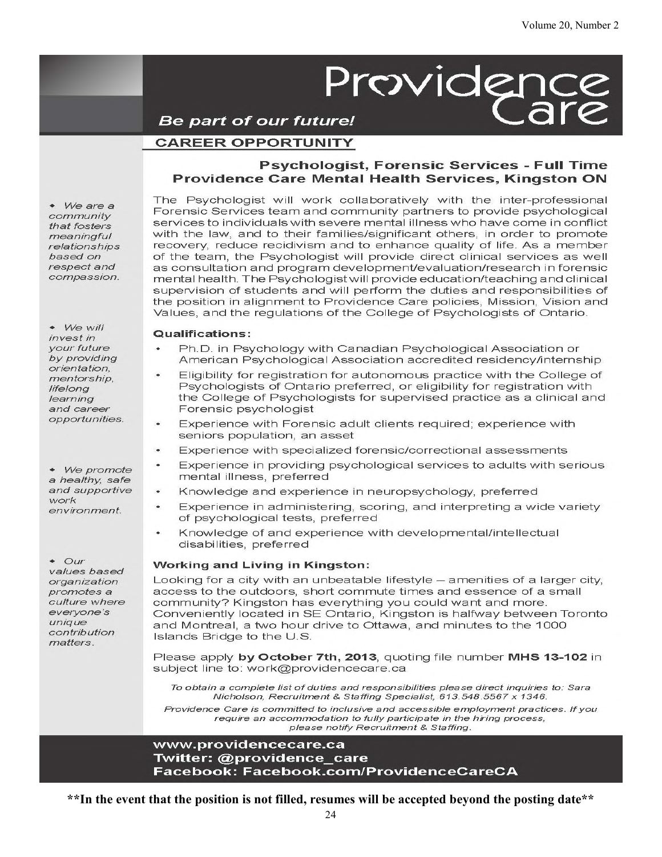# Providence

## **Be part of our future!**

#### **CAREER OPPORTUNITY**

#### **Psychologist, Forensic Services - Full Time Providence Care Mental Health Services, Kingston ON**

 $W$ e are a community that fosters meaningful relationships based on respect and compassion.

• We will invest in your future by providing orientation, mentorship. lifelong learning and career opportunities.

• We promote a healthy, safe and supportive work environment.

 $\bullet$  Our values based organization promotes a culture where everyone's unique contribution matters.

The Psychologist will work collaboratively with the inter-professional Forensic Services team and community partners to provide psychological services to individuals with severe mental illness who have come in conflict with the law, and to their families/significant others, in order to promote recovery, reduce recidivism and to enhance quality of life. As a member of the team, the Psychologist will provide direct clinical services as well as consultation and program development/evaluation/research in forensic mental health. The Psychologist will provide education/teaching and clinical supervision of students and will perform the duties and responsibilities of the position in alignment to Providence Care policies, Mission, Vision and Values, and the regulations of the College of Psychologists of Ontario.

#### **Qualifications:**

- Ph.D. in Psychology with Canadian Psychological Association or American Psychological Association accredited residency/internship
- Eligibility for registration for autonomous practice with the College of Psychologists of Ontario preferred, or eligibility for registration with the College of Psychologists for supervised practice as a clinical and Forensic psychologist
- Experience with Forensic adult clients required; experience with seniors population, an asset
- Experience with specialized forensic/correctional assessments
- Experience in providing psychological services to adults with serious  $\bullet$ mental illness, preferred
- Knowledge and experience in neuropsychology, preferred
- Experience in administering, scoring, and interpreting a wide variety of psychological tests, preferred
- Knowledge of and experience with developmental/intellectual disabilities, preferred

#### **Working and Living in Kingston:**

Looking for a city with an unbeatable lifestyle - amenities of a larger city, access to the outdoors, short commute times and essence of a small community? Kingston has everything you could want and more. Conveniently located in SE Ontario, Kingston is halfway between Toronto and Montreal, a two hour drive to Ottawa, and minutes to the 1000 Islands Bridge to the U.S.

Please apply by October 7th, 2013, quoting file number MHS 13-102 in subject line to: work@providencecare.ca

To obtain a complete list of duties and responsibilities please direct inquiries to: Sara Nicholson, Recruitment & Staffing Specialist, 613.548.5567 x 1346.

Providence Care is committed to inclusive and accessible employment practices. If you require an accommodation to fully participate in the hiring process, please notify Recruitment & Staffing.

www.providencecare.ca Twitter: @providence\_care Facebook: Facebook.com/ProvidenceCareCA

**\*\*In the event that the position is not filled, resumes will be accepted beyond the posting date\*\***